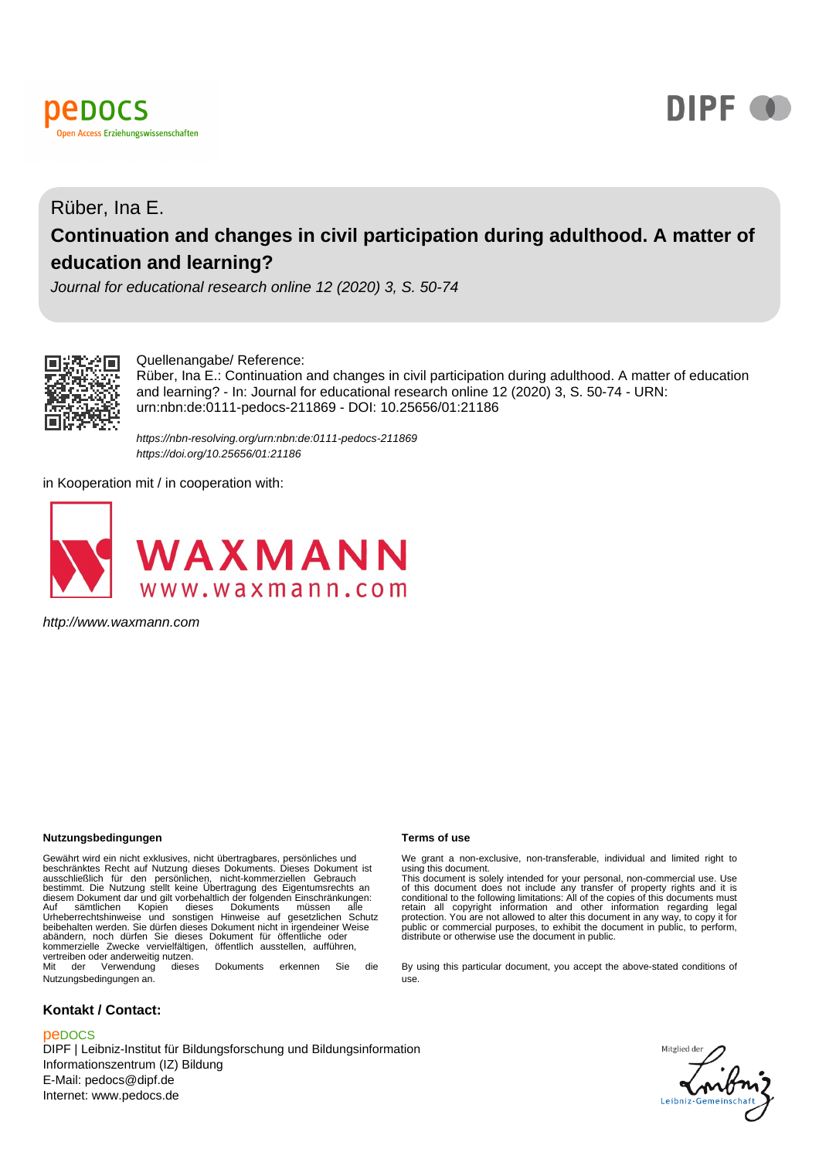



## Rüber, Ina E. **Continuation and changes in civil participation during adulthood. A matter of education and learning?**

Journal for educational research online 12 (2020) 3, S. 50-74



#### Quellenangabe/ Reference:

Rüber, Ina E.: Continuation and changes in civil participation during adulthood. A matter of education and learning? - In: Journal for educational research online 12 (2020) 3, S. 50-74 - URN: urn:nbn:de:0111-pedocs-211869 - DOI: 10.25656/01:21186

https://nbn-resolving.org/urn:nbn:de:0111-pedocs-211869 https://doi.org/10.25656/01:21186

in Kooperation mit / in cooperation with:



http://www.waxmann.com

#### **Nutzungsbedingungen Terms of use**

Gewährt wird ein nicht exklusives, nicht übertragbares, persönliches und beschränktes Recht auf Nutzung dieses Dokuments. Dieses Dokument ist ausschließlich für den persönlichen, nicht-kommerziellen Gebrauch bestimmt. Die Nutzung stellt keine Übertragung des Eigentumsrechts an diesem Dokument dar und gilt vorbehaltlich der folgenden Einschränkungen:<br>Auf sämtlichen Kopien dieses Dokuments müssen alle<br>Urheberrechtshinweise und sonstigen Hinweise auf gesetzlichen beibehalten werden. Sie dürfen dieses Dokument nicht in irgendeiner Weise abändern, noch dürfen Sie dieses Dokument für öffentliche oder kommerzielle Zwecke vervielfältigen, öffentlich ausstellen, aufführen, vertreiben oder anderweitig nutzen.<br>Mit der Verwendung diese Mit der Verwendung dieses Dokuments erkennen Sie die

Nutzungsbedingungen an.

#### **Kontakt / Contact:**

#### peDOCS

DIPF | Leibniz-Institut für Bildungsforschung und Bildungsinformation Informationszentrum (IZ) Bildung E-Mail: pedocs@dipf.de Internet: www.pedocs.de

We grant a non-exclusive, non-transferable, individual and limited right to using this document. This document is solely intended for your personal, non-commercial use. Use

of this document does not include any transfer of property rights and it is<br>conditional to the following limitations: All of the copies of this documents must<br>retain all copyright information and other information regardin protection. You are not allowed to alter this document in any way, to copy it for<br>public or commercial purposes, to exhibit the document in public, to perform,<br>distribute or otherwise use the document in public.

By using this particular document, you accept the above-stated conditions of use.

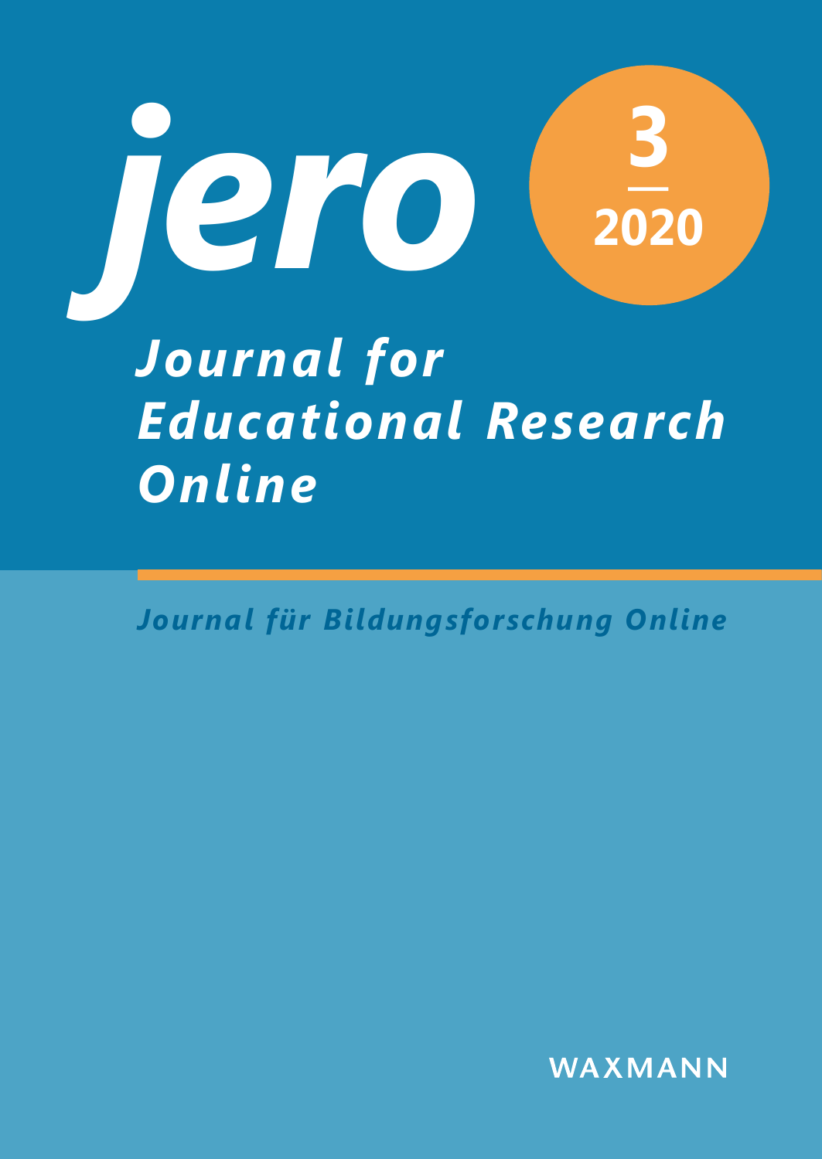

# *Educational Research Online*

*Journal für Bildungsforschung Online*

WAXMANN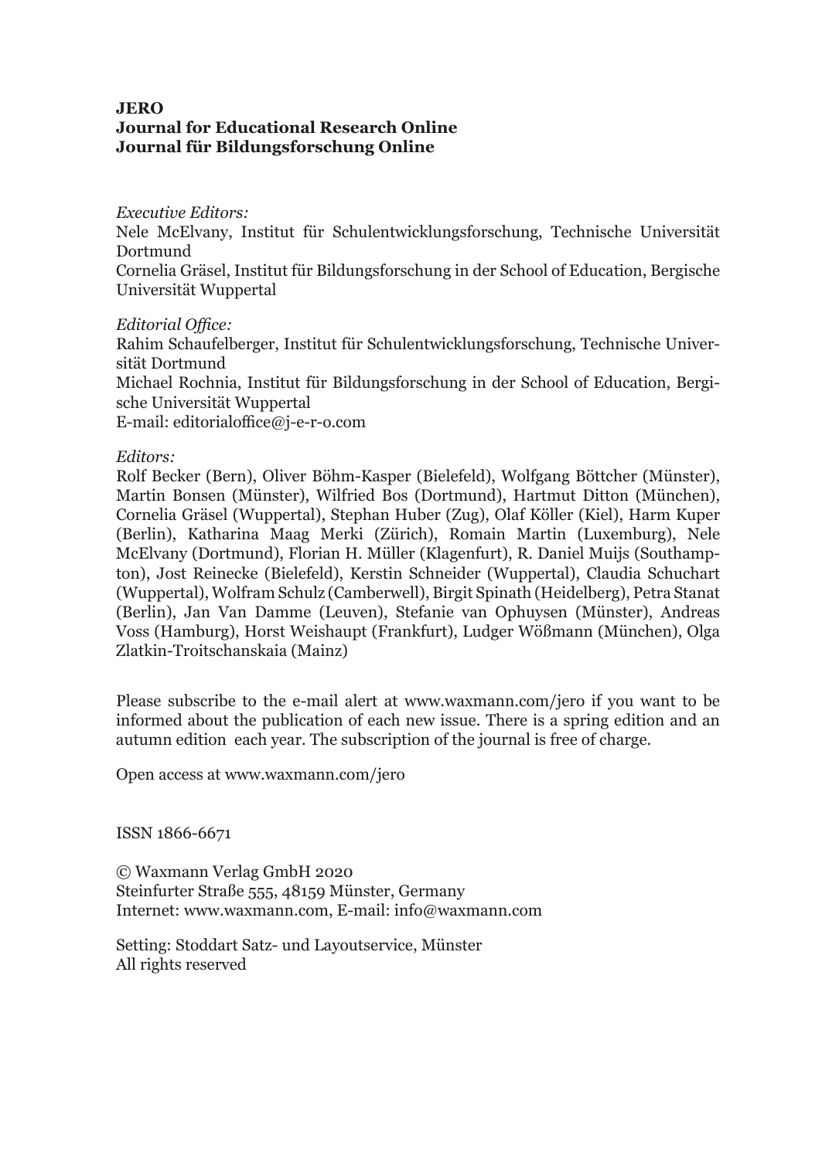#### **JERO Journal for Educational Research Online Journal für Bildungsforschung Online**

#### *Executive Editors:*

Nele McElvany, Institut für Schulentwicklungsforschung, Technische Universität Dortmund

Cornelia Gräsel, Institut für Bildungsforschung in der School of Education, Bergische Universität Wuppertal

#### *Editorial Office:*

Rahim Schaufelberger, Institut für Schulentwicklungsforschung, Technische Universität Dortmund Michael Rochnia, Institut für Bildungsforschung in der School of Education, Bergische Universität Wuppertal E-mail: editorialoffice@j-e-r-o.com

#### *Editors:*

Rolf Becker (Bern), Oliver Böhm-Kasper (Bielefeld), Wolfgang Böttcher ( Münster), Martin Bonsen (Münster), Wilfried Bos (Dortmund), Hartmut Ditton (München), Cornelia Gräsel (Wuppertal), Stephan Huber (Zug), Olaf Köller (Kiel), Harm Kuper (Berlin), Katharina Maag Merki (Zürich), Romain Martin (Luxemburg), Nele McElvany (Dortmund), Florian H. Müller (Klagenfurt), R. Daniel Muijs (Southampton), Jost Reinecke (Bielefeld), Kerstin Schneider (Wuppertal), Claudia Schuchart (Wuppertal), Wolfram Schulz (Camberwell), Birgit Spinath (Heidelberg), Petra Stanat (Berlin), Jan Van Damme (Leuven), Stefanie van Ophuysen ( Münster), Andreas Voss (Hamburg), Horst Weishaupt (Frankfurt), Ludger Wößmann (München), Olga Zlatkin-Troitschanskaia (Mainz)

Please subscribe to the e-mail alert at www.waxmann.com/jero if you want to be informed about the publication of each new issue. There is a spring edition and an autumn edition each year. The subscription of the journal is free of charge.

Open access at www.waxmann.com/jero

ISSN 1866-6671

© Waxmann Verlag GmbH 2020 Steinfurter Straße 555, 48159 Münster, Germany Internet: www.waxmann.com, E-mail: info@waxmann.com

Setting: Stoddart Satz- und Layoutservice, Münster All rights reserved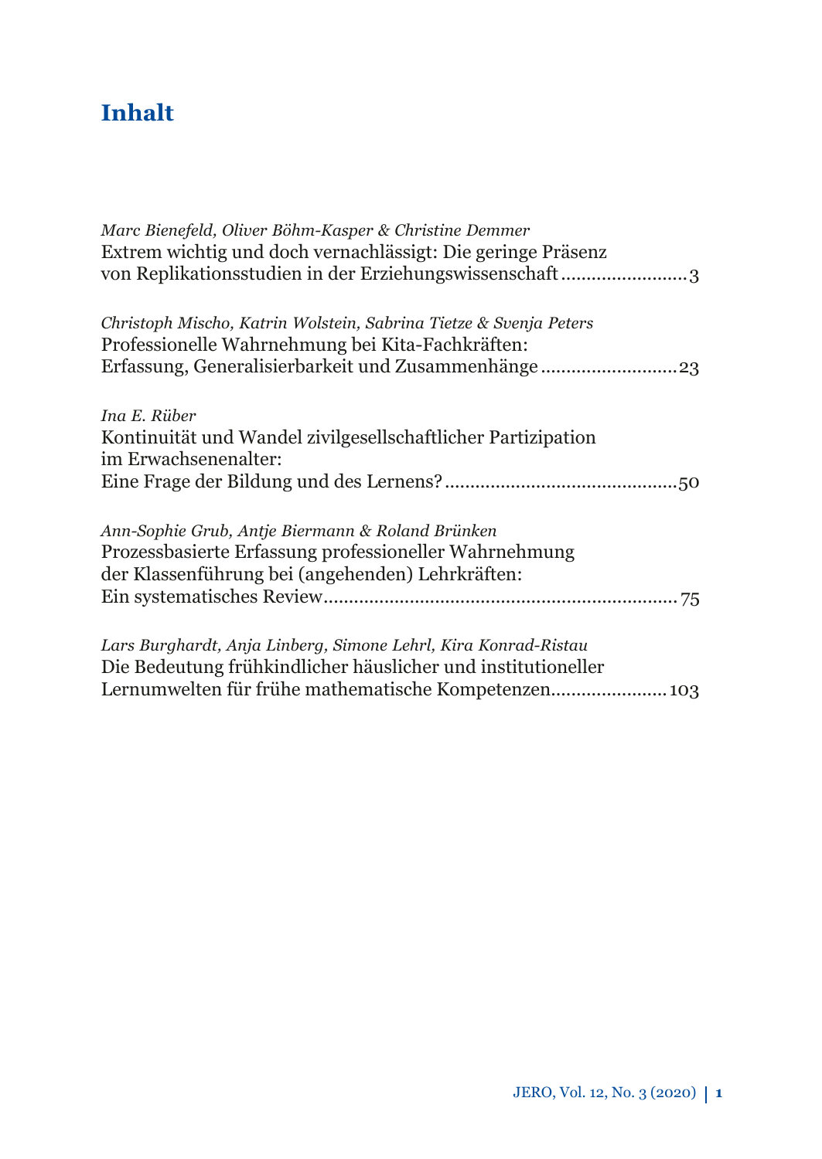## **Inhalt**

| Marc Bienefeld, Oliver Böhm-Kasper & Christine Demmer<br>Extrem wichtig und doch vernachlässigt: Die geringe Präsenz<br>von Replikationsstudien in der Erziehungswissenschaft3         |
|----------------------------------------------------------------------------------------------------------------------------------------------------------------------------------------|
| Christoph Mischo, Katrin Wolstein, Sabrina Tietze & Svenja Peters<br>Professionelle Wahrnehmung bei Kita-Fachkräften:                                                                  |
| Ina E. Rüber<br>Kontinuität und Wandel zivilgesellschaftlicher Partizipation                                                                                                           |
| im Erwachsenenalter:                                                                                                                                                                   |
| Ann-Sophie Grub, Antje Biermann & Roland Brünken<br>Prozessbasierte Erfassung professioneller Wahrnehmung<br>der Klassenführung bei (angehenden) Lehrkräften:                          |
| Lars Burghardt, Anja Linberg, Simone Lehrl, Kira Konrad-Ristau<br>Die Bedeutung frühkindlicher häuslicher und institutioneller<br>Lernumwelten für frühe mathematische Kompetenzen 103 |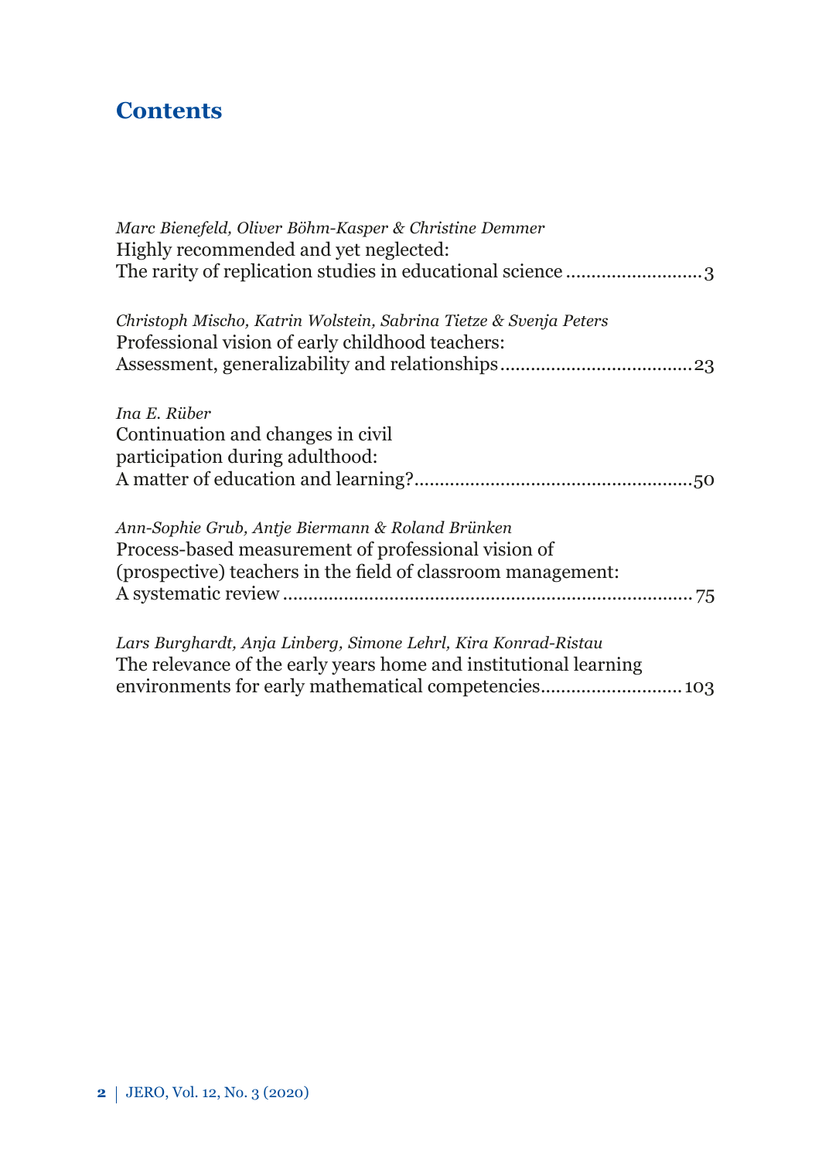## **Contents**

| Marc Bienefeld, Oliver Böhm-Kasper & Christine Demmer<br>Highly recommended and yet neglected:                                                                                             |
|--------------------------------------------------------------------------------------------------------------------------------------------------------------------------------------------|
| Christoph Mischo, Katrin Wolstein, Sabrina Tietze & Svenja Peters<br>Professional vision of early childhood teachers:                                                                      |
| Ina E. Rüber<br>Continuation and changes in civil<br>participation during adulthood:                                                                                                       |
| Ann-Sophie Grub, Antje Biermann & Roland Brünken<br>Process-based measurement of professional vision of<br>(prospective) teachers in the field of classroom management:                    |
| Lars Burghardt, Anja Linberg, Simone Lehrl, Kira Konrad-Ristau<br>The relevance of the early years home and institutional learning<br>environments for early mathematical competencies 103 |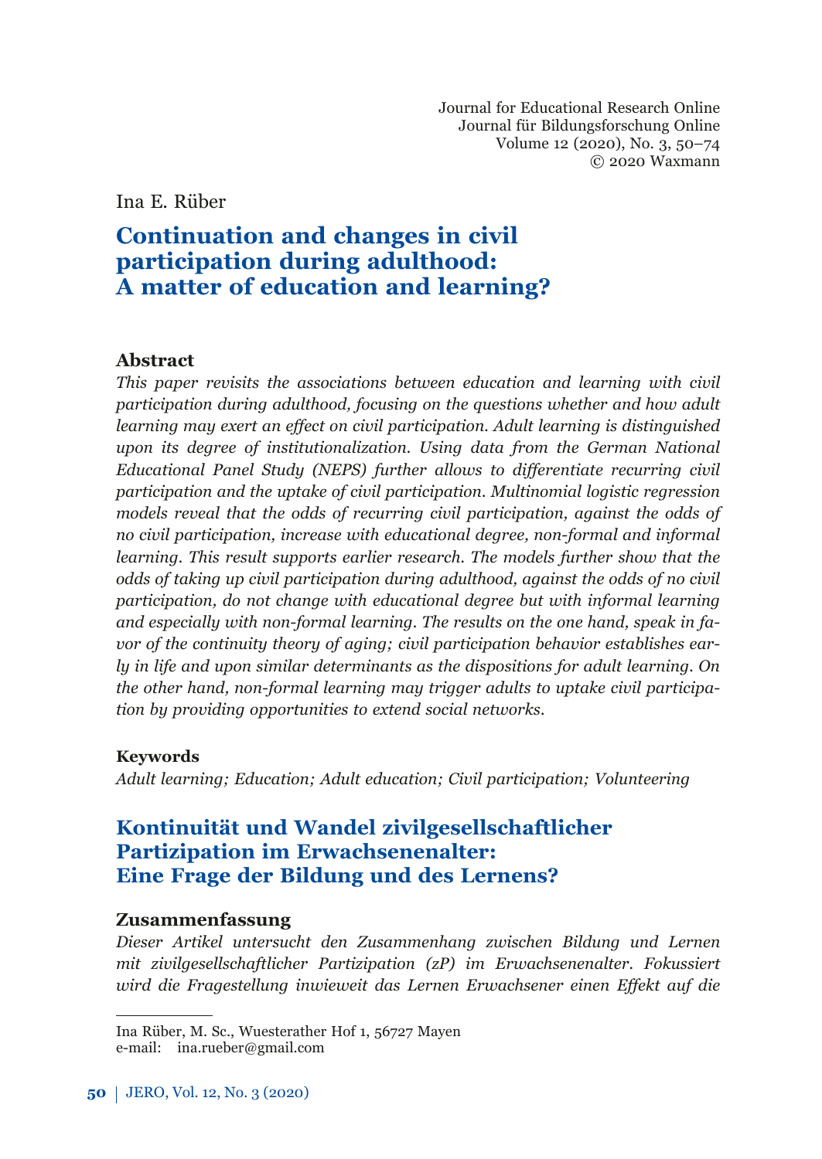Journal for Educational Research Online Journal für Bildungsforschung Online Volume 12 (2020), No. 3, 50–74 © 2020 Waxmann

<span id="page-5-0"></span>Ina E. Rüber

## **Continuation and changes in civil participation during adulthood: A matter of education and learning?**

#### **Abstract**

*This paper revisits the associations between education and learning with civil participation during adulthood, focusing on the questions whether and how adult learning may exert an eff ect on civil participation. Adult learning is distinguished upon its degree of institutionalization. Using data from the German National Educational Panel Study (NEPS) further allows to diff erentiate recurring civil participation and the uptake of civil participation. Multinomial logistic regression models reveal that the odds of recurring civil participation, against the odds of no civil participation, increase with educational degree, non-formal and informal learning. This result supports earlier research. The models further show that the odds of taking up civil participation during adulthood, against the odds of no civil participation, do not change with educational degree but with informal learning and especially with non-formal learning. The results on the one hand, speak in favor of the continuity theory of aging; civil participation behavior establishes early in life and upon similar determinants as the dispositions for adult learning. On the other hand, non-formal learning may trigger adults to uptake civil participation by providing opportunities to extend social networks.*

#### **Keywords**

*Adult learning; Education; Adult education; Civil participation; Volunteering*

## **Kontinuität und Wandel zivilgesellschaftlicher Partizipation im Erwachsenenalter: Eine Frage der Bildung und des Lernens?**

#### **Zusammenfassung**

*Dieser Artikel untersucht den Zusammenhang zwischen Bildung und Lernen mit zivilgesellschaftlicher Partizipation (zP) im Erwachsenenalter. Fokussiert wird die Fragestellung inwieweit das Lernen Erwachsener einen Eff ekt auf die* 

Ina Rüber, M. Sc., Wuesterather Hof 1, 56727 Mayen e-mail: ina.rueber@gmail.com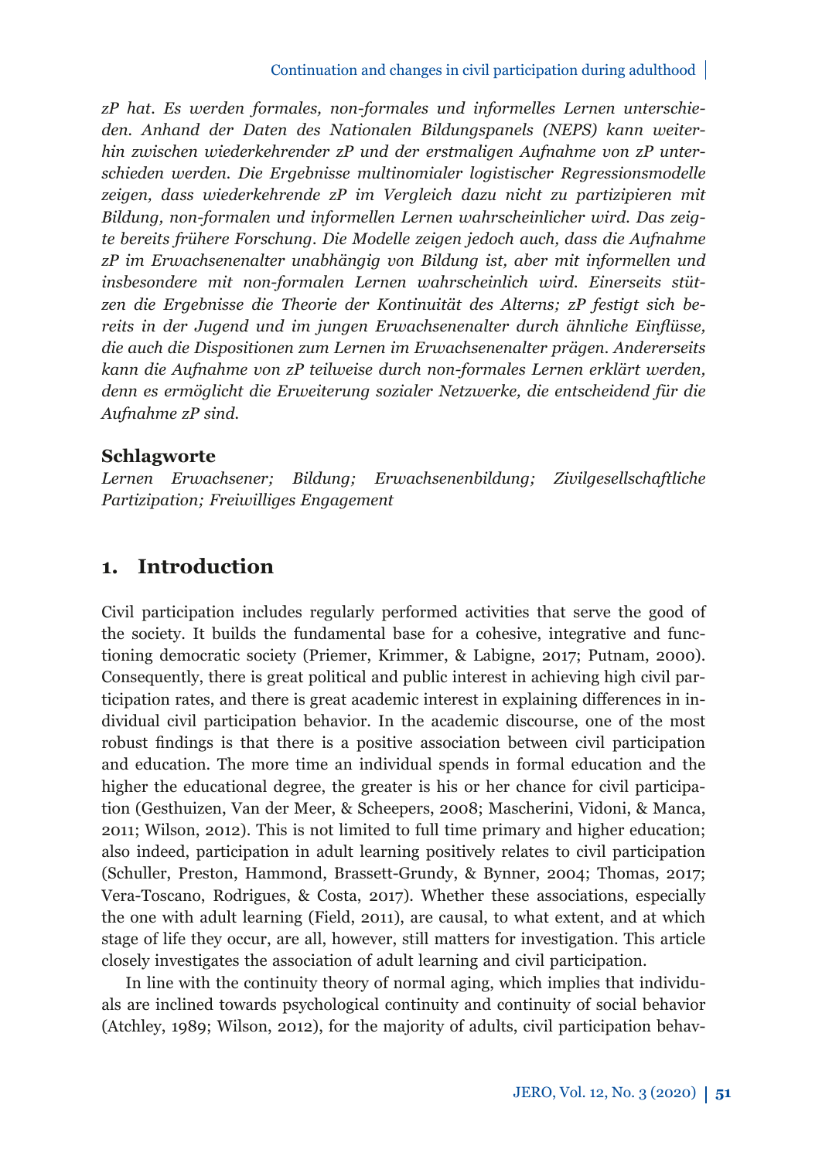*zP hat. Es werden formales, non-formales und informelles Lernen unterschieden. Anhand der Daten des Nationalen Bildungspanels (NEPS) kann weiterhin zwischen wiederkehrender zP und der erstmaligen Aufnahme von zP unterschieden werden. Die Ergebnisse multinomialer logistischer Regressionsmodelle zeigen, dass wiederkehrende zP im Vergleich dazu nicht zu partizipieren mit Bildung, non-formalen und informellen Lernen wahrscheinlicher wird. Das zeigte bereits frühere Forschung. Die Modelle zeigen jedoch auch, dass die Aufnahme zP im Erwachsenenalter unabhängig von Bildung ist, aber mit informellen und insbesondere mit non-formalen Lernen wahrscheinlich wird. Einerseits stützen die Ergebnisse die Theorie der Kontinuität des Alterns; zP festigt sich bereits in der Jugend und im jungen Erwachsenenalter durch ähnliche Einfl üsse, die auch die Dispositionen zum Lernen im Erwachsenenalter prägen. Andererseits kann die Aufnahme von zP teilweise durch non-formales Lernen erklärt werden, denn es ermöglicht die Erweiterung sozialer Netzwerke, die entscheidend für die Aufnahme zP sind.*

#### **Schlagworte**

*Lernen Erwachsener; Bildung; Erwachsenenbildung; Zivilgesellschaftliche Partizipation; Freiwilliges Engagement*

## **1. Introduction**

Civil participation includes regularly performed activities that serve the good of the society. It builds the fundamental base for a cohesive, integrative and functioning democratic society (Priemer, Krimmer, & Labigne, 2017; Putnam, 2000). Consequently, there is great political and public interest in achieving high civil participation rates, and there is great academic interest in explaining differences in individual civil participation behavior. In the academic discourse, one of the most robust findings is that there is a positive association between civil participation and education. The more time an individual spends in formal education and the higher the educational degree, the greater is his or her chance for civil participation (Gesthuizen, Van der Meer, & Scheepers, 2008; Mascherini, Vidoni, & Manca, 2011; Wilson, 2012). This is not limited to full time primary and higher education; also indeed, participation in adult learning positively relates to civil participation (Schuller, Preston, Hammond, Brassett-Grundy, & Bynner, 2004; Thomas, 2017; Vera-Toscano, Rodrigues, & Costa, 2017). Whether these associations, especially the one with adult learning (Field, 2011), are causal, to what extent, and at which stage of life they occur, are all, however, still matters for investigation. This article closely investigates the association of adult learning and civil participation.

In line with the continuity theory of normal aging, which implies that individuals are inclined towards psychological continuity and continuity of social behavior (Atchley, 1989; Wilson, 2012), for the majority of adults, civil participation behav-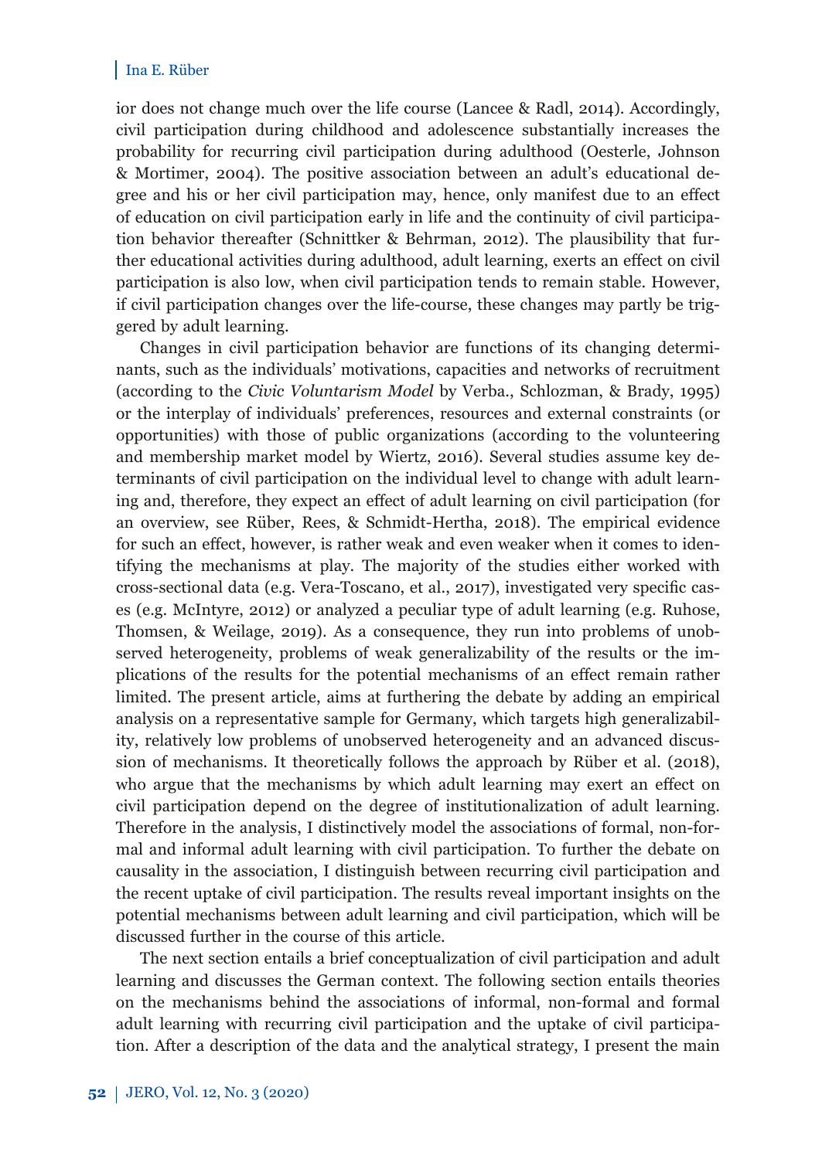ior does not change much over the life course (Lancee & Radl, 2014). Accordingly, civil participation during childhood and adolescence substantially increases the probability for recurring civil participation during adulthood (Oesterle, Johnson & Mortimer, 2004). The positive association between an adult's educational degree and his or her civil participation may, hence, only manifest due to an effect of education on civil participation early in life and the continuity of civil participation behavior thereafter (Schnittker & Behrman, 2012). The plausibility that further educational activities during adulthood, adult learning, exerts an effect on civil participation is also low, when civil participation tends to remain stable. However, if civil participation changes over the life-course, these changes may partly be triggered by adult learning.

Changes in civil participation behavior are functions of its changing determinants, such as the individuals' motivations, capacities and networks of recruitment (according to the *Civic Voluntarism Model* by Verba., Schlozman, & Brady, 1995) or the interplay of individuals' preferences, resources and external constraints (or opportunities) with those of public organizations (according to the volunteering and membership market model by Wiertz, 2016). Several studies assume key determinants of civil participation on the individual level to change with adult learning and, therefore, they expect an effect of adult learning on civil participation (for an overview, see Rüber, Rees, & Schmidt-Hertha, 2018). The empirical evidence for such an effect, however, is rather weak and even weaker when it comes to identifying the mechanisms at play. The majority of the studies either worked with cross-sectional data (e.g. Vera-Toscano, et al., 2017), investigated very specifi c cases (e.g. McIntyre, 2012) or analyzed a peculiar type of adult learning (e.g. Ruhose, Thomsen, & Weilage, 2019). As a consequence, they run into problems of unobserved heterogeneity, problems of weak generalizability of the results or the implications of the results for the potential mechanisms of an effect remain rather limited. The present article, aims at furthering the debate by adding an empirical analysis on a representative sample for Germany, which targets high generalizability, relatively low problems of unobserved heterogeneity and an advanced discussion of mechanisms. It theoretically follows the approach by Rüber et al. (2018), who argue that the mechanisms by which adult learning may exert an effect on civil participation depend on the degree of institutionalization of adult learning. Therefore in the analysis, I distinctively model the associations of formal, non-formal and informal adult learning with civil participation. To further the debate on causality in the association, I distinguish between recurring civil participation and the recent uptake of civil participation. The results reveal important insights on the potential mechanisms between adult learning and civil participation, which will be discussed further in the course of this article.

The next section entails a brief conceptualization of civil participation and adult learning and discusses the German context. The following section entails theories on the mechanisms behind the associations of informal, non-formal and formal adult learning with recurring civil participation and the uptake of civil participation. After a description of the data and the analytical strategy, I present the main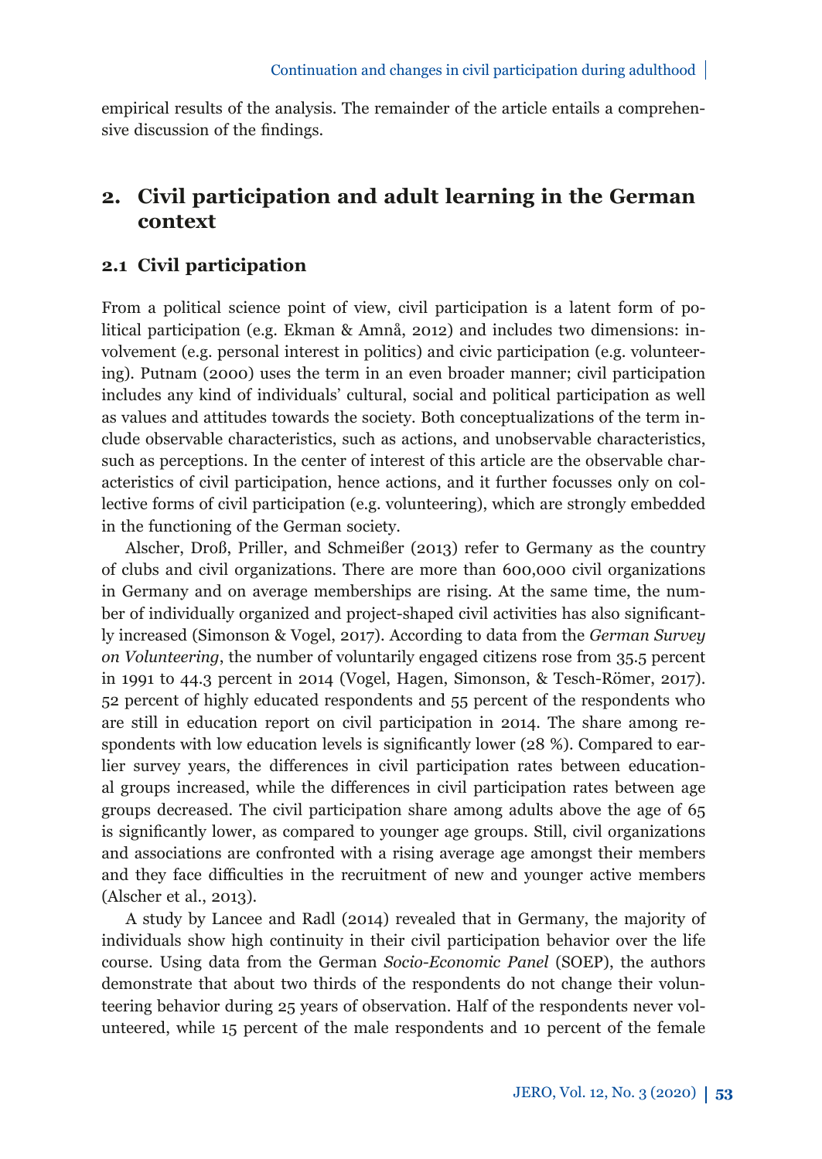empirical results of the analysis. The remainder of the article entails a comprehensive discussion of the findings.

## **2. Civil participation and adult learning in the German context**

#### **2.1 Civil participation**

From a political science point of view, civil participation is a latent form of political participation (e.g. Ekman & Amnå, 2012) and includes two dimensions: involvement (e.g. personal interest in politics) and civic participation (e.g. volunteering). Putnam (2000) uses the term in an even broader manner; civil participation includes any kind of individuals' cultural, social and political participation as well as values and attitudes towards the society. Both conceptualizations of the term include observable characteristics, such as actions, and unobservable characteristics, such as perceptions. In the center of interest of this article are the observable characteristics of civil participation, hence actions, and it further focusses only on collective forms of civil participation (e.g. volunteering), which are strongly embedded in the functioning of the German society.

Alscher, Droß, Priller, and Schmeißer (2013) refer to Germany as the country of clubs and civil organizations. There are more than 600,000 civil organizations in Germany and on average memberships are rising. At the same time, the number of individually organized and project-shaped civil activities has also significantly increased (Simonson & Vogel, 2017). According to data from the *German Survey on Volunteering*, the number of voluntarily engaged citizens rose from 35.5 percent in 1991 to 44.3 percent in 2014 (Vogel, Hagen, Simonson, & Tesch-Römer, 2017). 52 percent of highly educated respondents and 55 percent of the respondents who are still in education report on civil participation in 2014. The share among respondents with low education levels is significantly lower ( $28\%$ ). Compared to earlier survey years, the differences in civil participation rates between educational groups increased, while the differences in civil participation rates between age groups decreased. The civil participation share among adults above the age of 65 is significantly lower, as compared to younger age groups. Still, civil organizations and associations are confronted with a rising average age amongst their members and they face difficulties in the recruitment of new and younger active members (Alscher et al., 2013).

A study by Lancee and Radl (2014) revealed that in Germany, the majority of individuals show high continuity in their civil participation behavior over the life course. Using data from the German *Socio-Economic Panel* (SOEP), the authors demonstrate that about two thirds of the respondents do not change their volunteering behavior during 25 years of observation. Half of the respondents never volunteered, while 15 percent of the male respondents and 10 percent of the female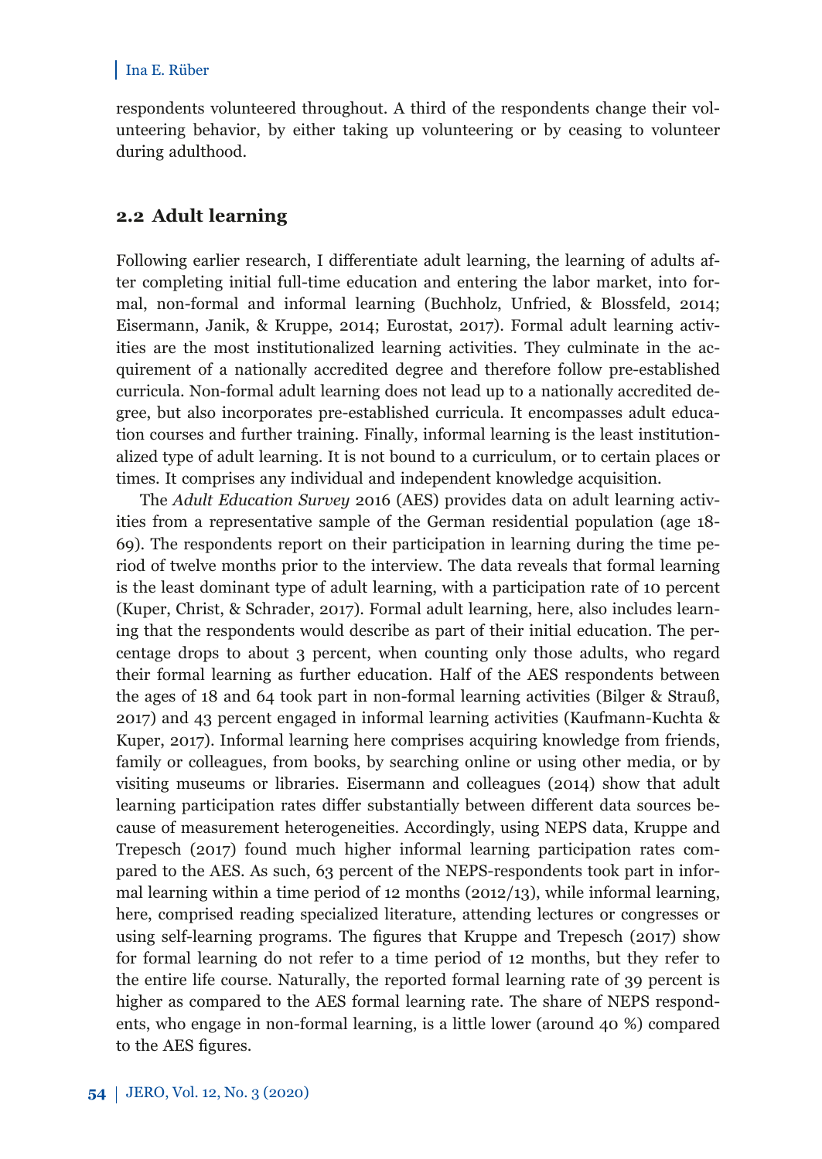respondents volunteered throughout. A third of the respondents change their volunteering behavior, by either taking up volunteering or by ceasing to volunteer during adulthood.

#### **2.2 Adult learning**

Following earlier research, I differentiate adult learning, the learning of adults after completing initial full-time education and entering the labor market, into formal, non-formal and informal learning (Buchholz, Unfried, & Blossfeld, 2014; Eisermann, Janik, & Kruppe, 2014; Eurostat, 2017). Formal adult learning activities are the most institutionalized learning activities. They culminate in the acquirement of a nationally accredited degree and therefore follow pre-established curricula. Non-formal adult learning does not lead up to a nationally accredited degree, but also incorporates pre-established curricula. It encompasses adult education courses and further training. Finally, informal learning is the least institutionalized type of adult learning. It is not bound to a curriculum, or to certain places or times. It comprises any individual and independent knowledge acquisition.

The *Adult Education Survey* 2016 (AES) provides data on adult learning activities from a representative sample of the German residential population (age 18- 69). The respondents report on their participation in learning during the time period of twelve months prior to the interview. The data reveals that formal learning is the least dominant type of adult learning, with a participation rate of 10 percent (Kuper, Christ, & Schrader, 2017). Formal adult learning, here, also includes learning that the respondents would describe as part of their initial education. The percentage drops to about 3 percent, when counting only those adults, who regard their formal learning as further education. Half of the AES respondents between the ages of 18 and 64 took part in non-formal learning activities (Bilger & Strauß, 2017) and 43 percent engaged in informal learning activities (Kaufmann-Kuchta & Kuper, 2017). Informal learning here comprises acquiring knowledge from friends, family or colleagues, from books, by searching online or using other media, or by visiting museums or libraries. Eisermann and colleagues (2014) show that adult learning participation rates differ substantially between different data sources because of measurement heterogeneities. Accordingly, using NEPS data, Kruppe and Trepesch (2017) found much higher informal learning participation rates compared to the AES. As such, 63 percent of the NEPS-respondents took part in informal learning within a time period of 12 months  $(2012/13)$ , while informal learning, here, comprised reading specialized literature, attending lectures or congresses or using self-learning programs. The figures that Kruppe and Trepesch  $(2017)$  show for formal learning do not refer to a time period of 12 months, but they refer to the entire life course. Naturally, the reported formal learning rate of 39 percent is higher as compared to the AES formal learning rate. The share of NEPS respondents, who engage in non-formal learning, is a little lower (around 40 %) compared to the AES figures.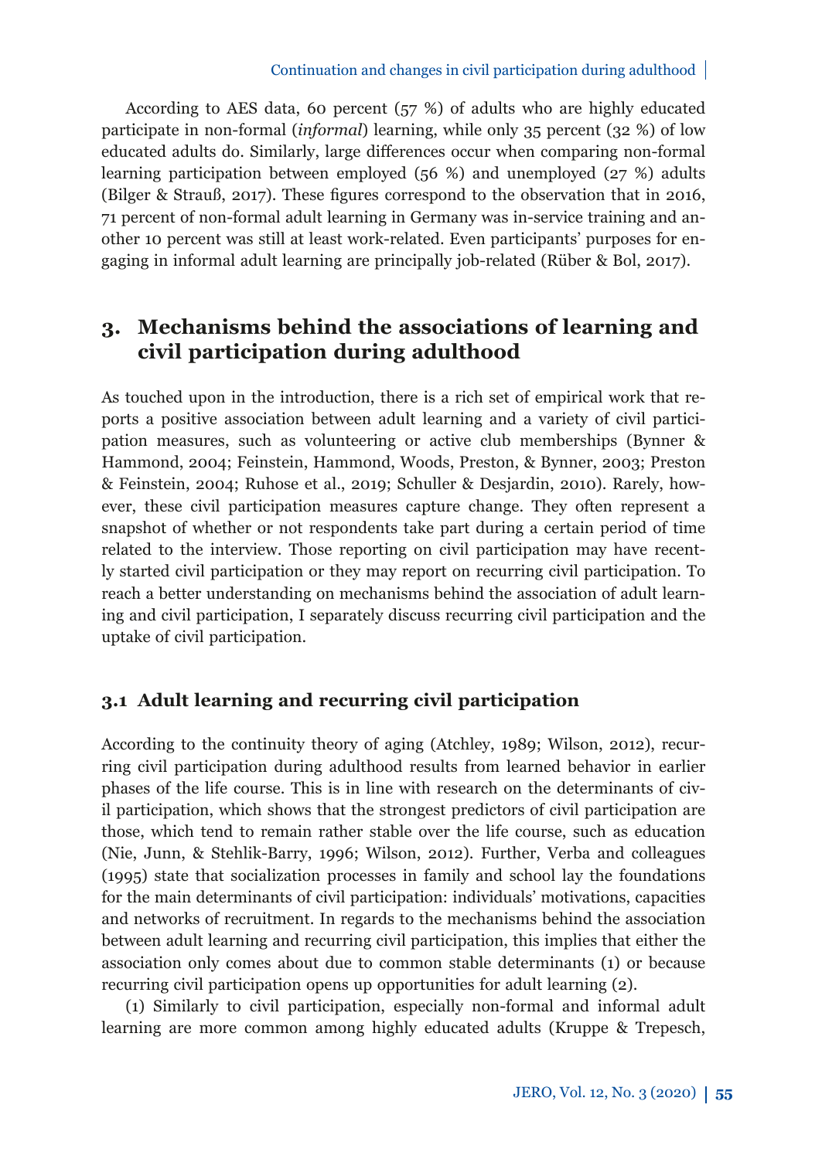#### Continuation and changes in civil participation during adulthood

According to AES data, 60 percent (57 %) of adults who are highly educated participate in non-formal (*informal*) learning, while only 35 percent (32 %) of low educated adults do. Similarly, large differences occur when comparing non-formal learning participation between employed (56 %) and unemployed (27 %) adults (Bilger & Strauß, 2017). These figures correspond to the observation that in 2016. 71 percent of non-formal adult learning in Germany was in-service training and another 10 percent was still at least work-related. Even participants' purposes for engaging in informal adult learning are principally job-related (Rüber & Bol, 2017).

## **3. Mechanisms behind the associations of learning and civil participation during adulthood**

As touched upon in the introduction, there is a rich set of empirical work that reports a positive association between adult learning and a variety of civil participation measures, such as volunteering or active club memberships (Bynner & Hammond, 2004; Feinstein, Hammond, Woods, Preston, & Bynner, 2003; Preston & Feinstein, 2004; Ruhose et al., 2019; Schuller & Desjardin, 2010). Rarely, however, these civil participation measures capture change. They often represent a snapshot of whether or not respondents take part during a certain period of time related to the interview. Those reporting on civil participation may have recently started civil participation or they may report on recurring civil participation. To reach a better understanding on mechanisms behind the association of adult learning and civil participation, I separately discuss recurring civil participation and the uptake of civil participation.

#### **3.1 Adult learning and recurring civil participation**

According to the continuity theory of aging (Atchley, 1989; Wilson, 2012), recurring civil participation during adulthood results from learned behavior in earlier phases of the life course. This is in line with research on the determinants of civil participation, which shows that the strongest predictors of civil participation are those, which tend to remain rather stable over the life course, such as education (Nie, Junn, & Stehlik-Barry, 1996; Wilson, 2012). Further, Verba and colleagues (1995) state that socialization processes in family and school lay the foundations for the main determinants of civil participation: individuals' motivations, capacities and networks of recruitment. In regards to the mechanisms behind the association between adult learning and recurring civil participation, this implies that either the association only comes about due to common stable determinants (1) or because recurring civil participation opens up opportunities for adult learning (2).

(1) Similarly to civil participation, especially non-formal and informal adult learning are more common among highly educated adults (Kruppe & Trepesch,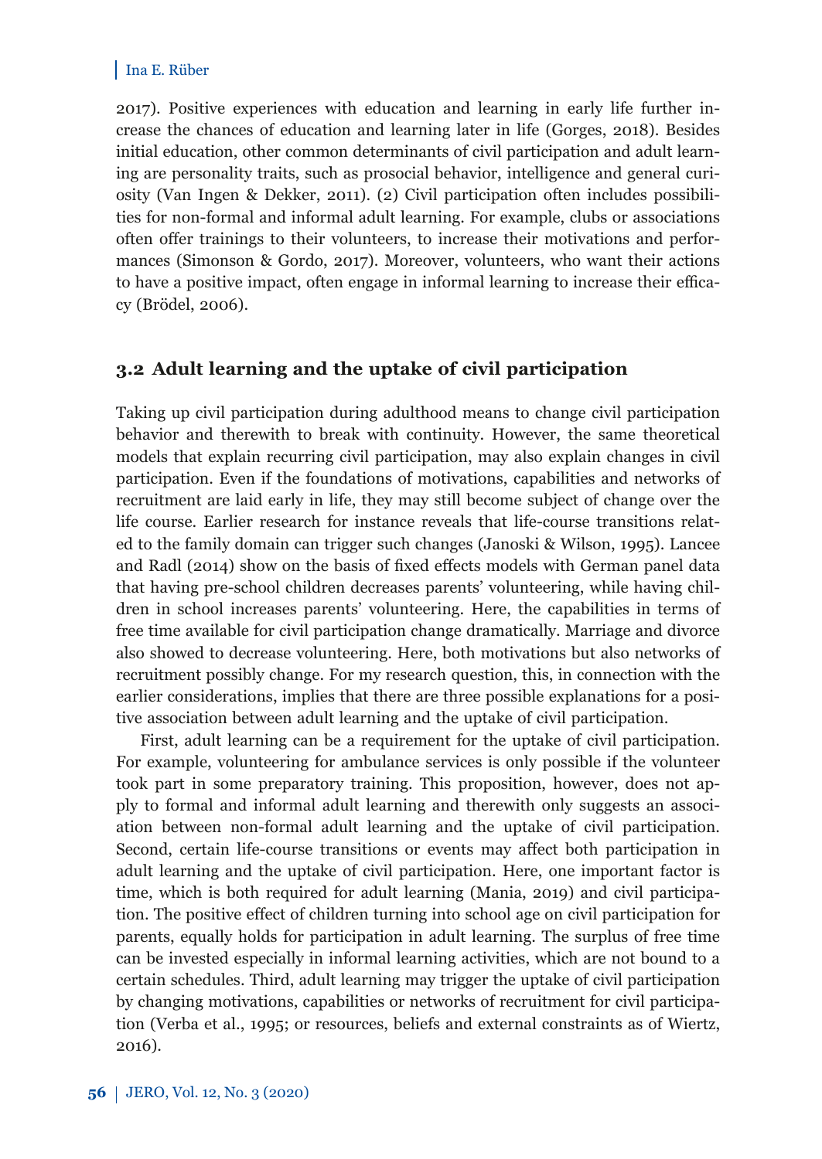2017). Positive experiences with education and learning in early life further increase the chances of education and learning later in life (Gorges, 2018). Besides initial education, other common determinants of civil participation and adult learning are personality traits, such as prosocial behavior, intelligence and general curiosity (Van Ingen & Dekker, 2011). (2) Civil participation often includes possibilities for non-formal and informal adult learning. For example, clubs or associations often offer trainings to their volunteers, to increase their motivations and performances (Simonson & Gordo, 2017). Moreover, volunteers, who want their actions to have a positive impact, often engage in informal learning to increase their efficacy (Brödel, 2006).

#### **3.2 Adult learning and the uptake of civil participation**

Taking up civil participation during adulthood means to change civil participation behavior and therewith to break with continuity. However, the same theoretical models that explain recurring civil participation, may also explain changes in civil participation. Even if the foundations of motivations, capabilities and networks of recruitment are laid early in life, they may still become subject of change over the life course. Earlier research for instance reveals that life-course transitions related to the family domain can trigger such changes (Janoski & Wilson, 1995). Lancee and Radl (2014) show on the basis of fixed effects models with German panel data that having pre-school children decreases parents' volunteering, while having children in school increases parents' volunteering. Here, the capabilities in terms of free time available for civil participation change dramatically. Marriage and divorce also showed to decrease volunteering. Here, both motivations but also networks of recruitment possibly change. For my research question, this, in connection with the earlier considerations, implies that there are three possible explanations for a positive association between adult learning and the uptake of civil participation.

First, adult learning can be a requirement for the uptake of civil participation. For example, volunteering for ambulance services is only possible if the volunteer took part in some preparatory training. This proposition, however, does not apply to formal and informal adult learning and therewith only suggests an association between non-formal adult learning and the uptake of civil participation. Second, certain life-course transitions or events may affect both participation in adult learning and the uptake of civil participation. Here, one important factor is time, which is both required for adult learning (Mania, 2019) and civil participation. The positive effect of children turning into school age on civil participation for parents, equally holds for participation in adult learning. The surplus of free time can be invested especially in informal learning activities, which are not bound to a certain schedules. Third, adult learning may trigger the uptake of civil participation by changing motivations, capabilities or networks of recruitment for civil participation (Verba et al., 1995; or resources, beliefs and external constraints as of Wiertz, 2016).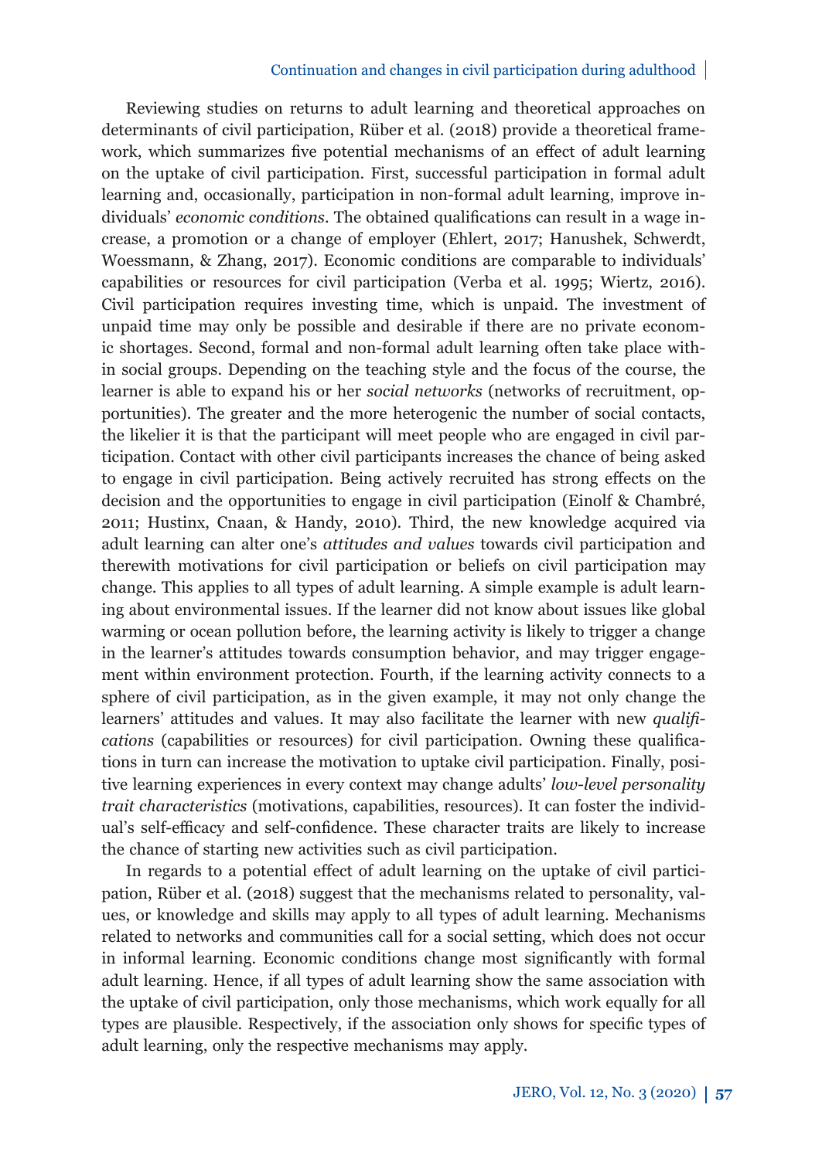#### Continuation and changes in civil participation during adulthood

Reviewing studies on returns to adult learning and theoretical approaches on determinants of civil participation, Rüber et al. (2018) provide a theoretical framework, which summarizes five potential mechanisms of an effect of adult learning on the uptake of civil participation. First, successful participation in formal adult learning and, occasionally, participation in non-formal adult learning, improve individuals' *economic conditions*. The obtained qualifications can result in a wage increase, a promotion or a change of employer (Ehlert, 2017; Hanushek, Schwerdt, Woessmann, & Zhang, 2017). Economic conditions are comparable to individuals' capabilities or resources for civil participation (Verba et al. 1995; Wiertz, 2016). Civil participation requires investing time, which is unpaid. The investment of unpaid time may only be possible and desirable if there are no private economic shortages. Second, formal and non-formal adult learning often take place within social groups. Depending on the teaching style and the focus of the course, the learner is able to expand his or her *social networks* (networks of recruitment, opportunities). The greater and the more heterogenic the number of social contacts, the likelier it is that the participant will meet people who are engaged in civil participation. Contact with other civil participants increases the chance of being asked to engage in civil participation. Being actively recruited has strong effects on the decision and the opportunities to engage in civil participation (Einolf & Chambré, 2011; Hustinx, Cnaan, & Handy, 2010). Third, the new knowledge acquired via adult learning can alter one's *attitudes and values* towards civil participation and therewith motivations for civil participation or beliefs on civil participation may change. This applies to all types of adult learning. A simple example is adult learning about environmental issues. If the learner did not know about issues like global warming or ocean pollution before, the learning activity is likely to trigger a change in the learner's attitudes towards consumption behavior, and may trigger engagement within environment protection. Fourth, if the learning activity connects to a sphere of civil participation, as in the given example, it may not only change the learners' attitudes and values. It may also facilitate the learner with new *qualifi cations* (capabilities or resources) for civil participation. Owning these qualifications in turn can increase the motivation to uptake civil participation. Finally, positive learning experiences in every context may change adults' *low-level personality trait characteristics* (motivations, capabilities, resources). It can foster the individual's self-efficacy and self-confidence. These character traits are likely to increase the chance of starting new activities such as civil participation.

In regards to a potential effect of adult learning on the uptake of civil participation, Rüber et al. (2018) suggest that the mechanisms related to personality, values, or knowledge and skills may apply to all types of adult learning. Mechanisms related to networks and communities call for a social setting, which does not occur in informal learning. Economic conditions change most significantly with formal adult learning. Hence, if all types of adult learning show the same association with the uptake of civil participation, only those mechanisms, which work equally for all types are plausible. Respectively, if the association only shows for specific types of adult learning, only the respective mechanisms may apply.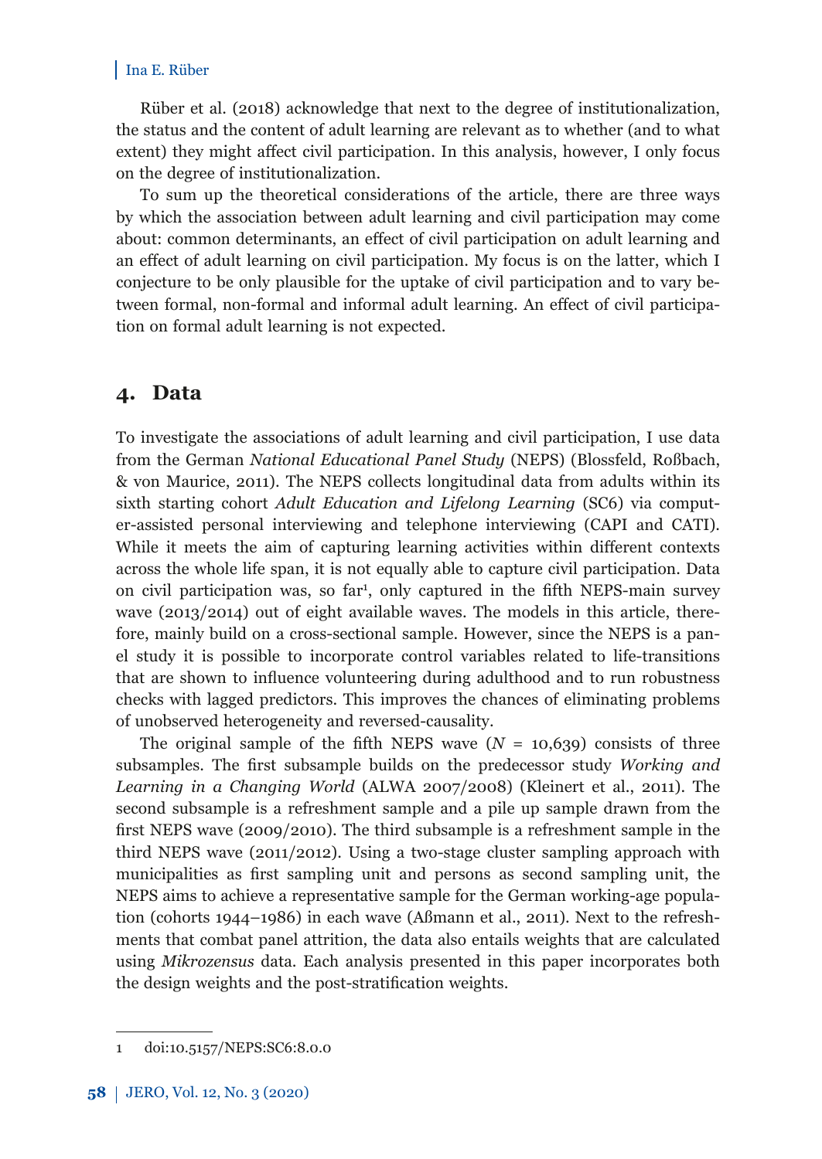Rüber et al. (2018) acknowledge that next to the degree of institutionalization, the status and the content of adult learning are relevant as to whether (and to what extent) they might affect civil participation. In this analysis, however, I only focus on the degree of institutionalization.

To sum up the theoretical considerations of the article, there are three ways by which the association between adult learning and civil participation may come about: common determinants, an effect of civil participation on adult learning and an effect of adult learning on civil participation. My focus is on the latter, which I conjecture to be only plausible for the uptake of civil participation and to vary between formal, non-formal and informal adult learning. An effect of civil participation on formal adult learning is not expected.

## **4. Data**

To investigate the associations of adult learning and civil participation, I use data from the German *National Educational Panel Study* (NEPS) (Blossfeld, Roßbach, & von Maurice, 2011). The NEPS collects longitudinal data from adults within its sixth starting cohort *Adult Education and Lifelong Learning* (SC6) via computer-assisted personal interviewing and telephone interviewing (CAPI and CATI). While it meets the aim of capturing learning activities within different contexts across the whole life span, it is not equally able to capture civil participation. Data on civil participation was, so far<sup>1</sup>, only captured in the fifth NEPS-main survey wave (2013/2014) out of eight available waves. The models in this article, therefore, mainly build on a cross-sectional sample. However, since the NEPS is a panel study it is possible to incorporate control variables related to life-transitions that are shown to influence volunteering during adulthood and to run robustness checks with lagged predictors. This improves the chances of eliminating problems of unobserved heterogeneity and reversed-causality.

The original sample of the fifth NEPS wave  $(N = 10,639)$  consists of three subsamples. The first subsample builds on the predecessor study *Working and Learning in a Changing World* (ALWA 2007/2008) (Kleinert et al., 2011). The second subsample is a refreshment sample and a pile up sample drawn from the first NEPS wave (2009/2010). The third subsample is a refreshment sample in the third NEPS wave (2011/2012). Using a two-stage cluster sampling approach with municipalities as first sampling unit and persons as second sampling unit, the NEPS aims to achieve a representative sample for the German working-age population (cohorts 1944–1986) in each wave (Aßmann et al., 2011). Next to the refreshments that combat panel attrition, the data also entails weights that are calculated using *Mikrozensus* data. Each analysis presented in this paper incorporates both the design weights and the post-stratification weights.

<sup>1</sup> doi:10.5157/NEPS:SC6:8.0.0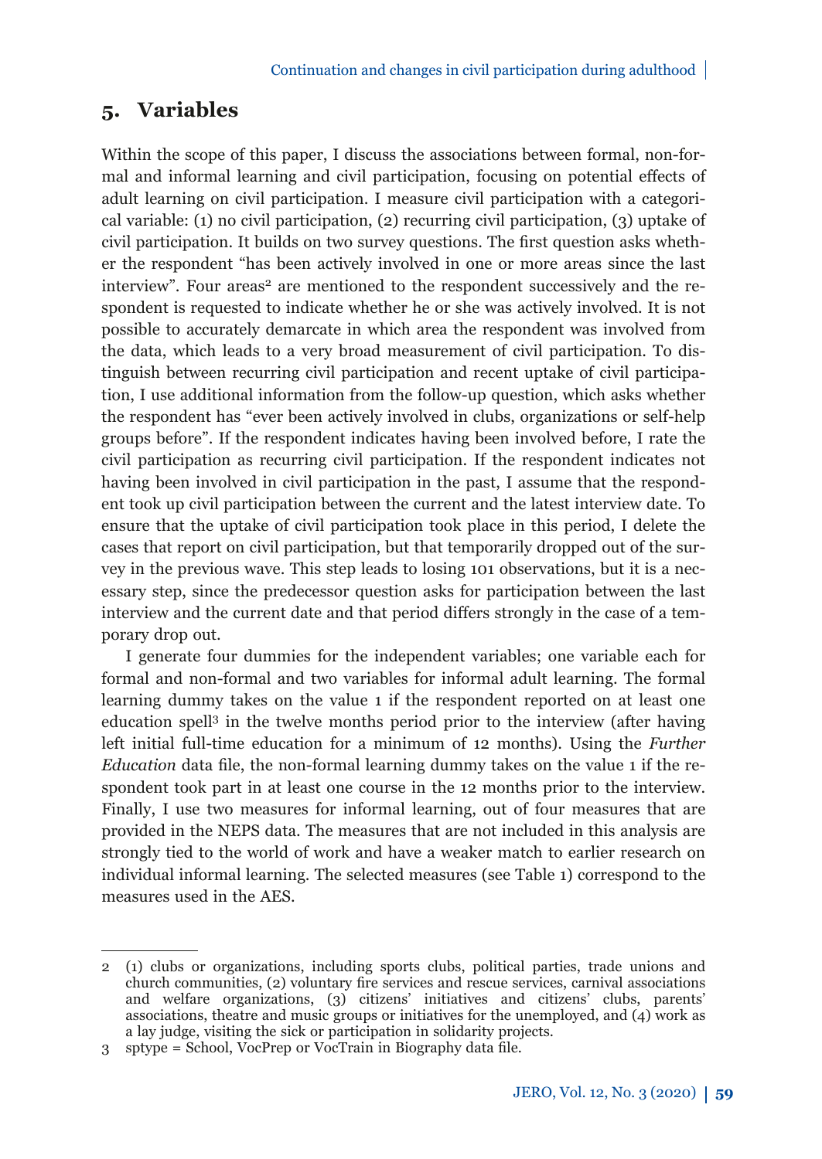## **5. Variables**

Within the scope of this paper, I discuss the associations between formal, non-formal and informal learning and civil participation, focusing on potential effects of adult learning on civil participation. I measure civil participation with a categorical variable: (1) no civil participation, (2) recurring civil participation, (3) uptake of civil participation. It builds on two survey questions. The first question asks whether the respondent "has been actively involved in one or more areas since the last  $interview$ . Four areas<sup>2</sup> are mentioned to the respondent successively and the respondent is requested to indicate whether he or she was actively involved. It is not possible to accurately demarcate in which area the respondent was involved from the data, which leads to a very broad measurement of civil participation. To distinguish between recurring civil participation and recent uptake of civil participation, I use additional information from the follow-up question, which asks whether the respondent has "ever been actively involved in clubs, organizations or self-help groups before". If the respondent indicates having been involved before, I rate the civil participation as recurring civil participation. If the respondent indicates not having been involved in civil participation in the past, I assume that the respondent took up civil participation between the current and the latest interview date. To ensure that the uptake of civil participation took place in this period, I delete the cases that report on civil participation, but that temporarily dropped out of the survey in the previous wave. This step leads to losing 101 observations, but it is a necessary step, since the predecessor question asks for participation between the last interview and the current date and that period differs strongly in the case of a temporary drop out.

I generate four dummies for the independent variables; one variable each for formal and non-formal and two variables for informal adult learning. The formal learning dummy takes on the value 1 if the respondent reported on at least one education spell3 in the twelve months period prior to the interview (after having left initial full-time education for a minimum of 12 months). Using the *Further Education* data file, the non-formal learning dummy takes on the value 1 if the respondent took part in at least one course in the 12 months prior to the interview. Finally, I use two measures for informal learning, out of four measures that are provided in the NEPS data. The measures that are not included in this analysis are strongly tied to the world of work and have a weaker match to earlier research on individual informal learning. The selected measures (see Table 1) correspond to the measures used in the AES.

<sup>2 (1)</sup> clubs or organizations, including sports clubs, political parties, trade unions and church communities, (2) voluntary fire services and rescue services, carnival associations and welfare organizations, (3) citizens' initiatives and citizens' clubs, parents' associations, theatre and music groups or initiatives for the unemployed, and  $(4)$  work as a lay judge, visiting the sick or participation in solidarity projects.

<sup>3</sup> sptype = School, VocPrep or VocTrain in Biography data file.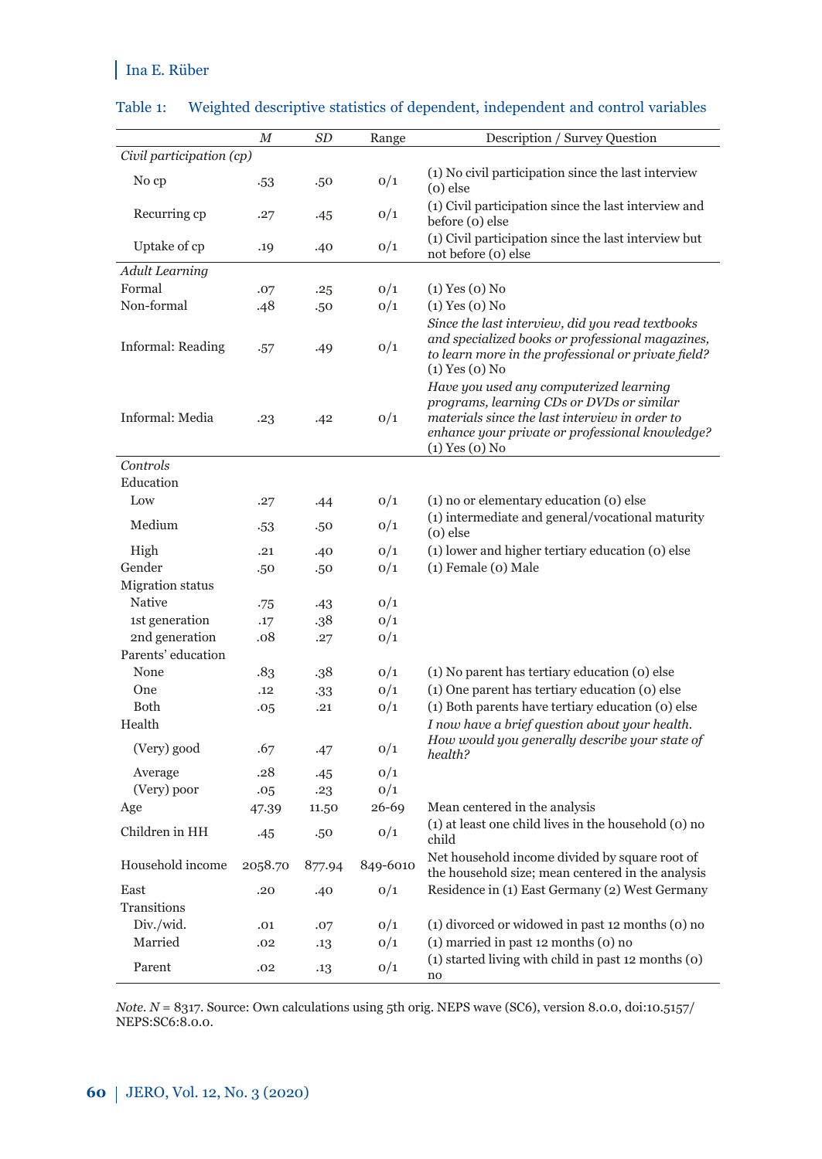|                          | М       | SD     | Range    | Description / Survey Question                                                                                                                                                                                   |
|--------------------------|---------|--------|----------|-----------------------------------------------------------------------------------------------------------------------------------------------------------------------------------------------------------------|
| Civil participation (cp) |         |        |          |                                                                                                                                                                                                                 |
| No cp                    | .53     | .50    | 0/1      | (1) No civil participation since the last interview<br>$(o)$ else                                                                                                                                               |
| Recurring cp             | .27     | .45    | 0/1      | (1) Civil participation since the last interview and<br>before (o) else                                                                                                                                         |
| Uptake of cp             | .19     | .40    | 0/1      | (1) Civil participation since the last interview but<br>not before (o) else                                                                                                                                     |
| <b>Adult Learning</b>    |         |        |          |                                                                                                                                                                                                                 |
| Formal                   | .07     | .25    | 0/1      | $(1)$ Yes $(0)$ No                                                                                                                                                                                              |
| Non-formal               | .48     | .50    | 0/1      | $(1)$ Yes $(0)$ No                                                                                                                                                                                              |
|                          |         |        |          | Since the last interview, did you read textbooks                                                                                                                                                                |
| Informal: Reading        | .57     | .49    | 0/1      | and specialized books or professional magazines,<br>to learn more in the professional or private field?<br>$(1)$ Yes $(0)$ No                                                                                   |
| Informal: Media          | .23     | .42    | 0/1      | Have you used any computerized learning<br>programs, learning CDs or DVDs or similar<br>materials since the last interview in order to<br>enhance your private or professional knowledge?<br>$(1)$ Yes $(0)$ No |
| Controls                 |         |        |          |                                                                                                                                                                                                                 |
| Education                |         |        |          |                                                                                                                                                                                                                 |
| Low                      | .27     | .44    | 0/1      | (1) no or elementary education (0) else                                                                                                                                                                         |
| Medium                   | $-53$   | .50    | 0/1      | (1) intermediate and general/vocational maturity<br>$(o)$ else                                                                                                                                                  |
| High                     | .21     | .40    | O/1      | (1) lower and higher tertiary education (0) else                                                                                                                                                                |
| Gender                   | .50     | .50    | 0/1      | (1) Female (0) Male                                                                                                                                                                                             |
| <b>Migration</b> status  |         |        |          |                                                                                                                                                                                                                 |
| Native                   | .75     | .43    | O/1      |                                                                                                                                                                                                                 |
| 1st generation           | .17     | .38    | O/1      |                                                                                                                                                                                                                 |
| 2nd generation           | .08     | .27    | 0/1      |                                                                                                                                                                                                                 |
| Parents' education       |         |        |          |                                                                                                                                                                                                                 |
| None                     | .83     | .38    | 0/1      | (1) No parent has tertiary education (0) else                                                                                                                                                                   |
| One                      | .12     | $-33$  | 0/1      | (1) One parent has tertiary education (0) else                                                                                                                                                                  |
| Both                     | .05     | .21    | 0/1      | (1) Both parents have tertiary education (0) else                                                                                                                                                               |
| Health                   |         |        |          | I now have a brief question about your health.                                                                                                                                                                  |
| (Very) good              | .67     | .47    | 0/1      | How would you generally describe your state of<br>health?                                                                                                                                                       |
| Average                  | .28     | .45    | O/1      |                                                                                                                                                                                                                 |
| (Very) poor              | .05     | .23    | O/1      |                                                                                                                                                                                                                 |
| Age                      | 47.39   | 11.50  | 26-69    | Mean centered in the analysis                                                                                                                                                                                   |
| Children in HH           | .45     | .50    | 0/1      | (1) at least one child lives in the household (0) no<br>child                                                                                                                                                   |
| Household income         | 2058.70 | 877.94 | 849-6010 | Net household income divided by square root of<br>the household size; mean centered in the analysis                                                                                                             |
| East                     | .20     | .40    | 0/1      | Residence in (1) East Germany (2) West Germany                                                                                                                                                                  |
| Transitions              |         |        |          |                                                                                                                                                                                                                 |
| Div./wid.                | .01     | .07    | 0/1      | (1) divorced or widowed in past 12 months (0) no                                                                                                                                                                |
| Married                  | .02     | .13    | 0/1      | $(1)$ married in past 12 months $(0)$ no                                                                                                                                                                        |
| Parent                   | .02     | .13    | 0/1      | (1) started living with child in past 12 months (0)<br>no                                                                                                                                                       |

#### Table 1: Weighted descriptive statistics of dependent, independent and control variables

*Note. N* = 8317. Source: Own calculations using 5th orig. NEPS wave (SC6), version 8.0.0, doi:10.5157/ NEPS:SC6:8.0.0.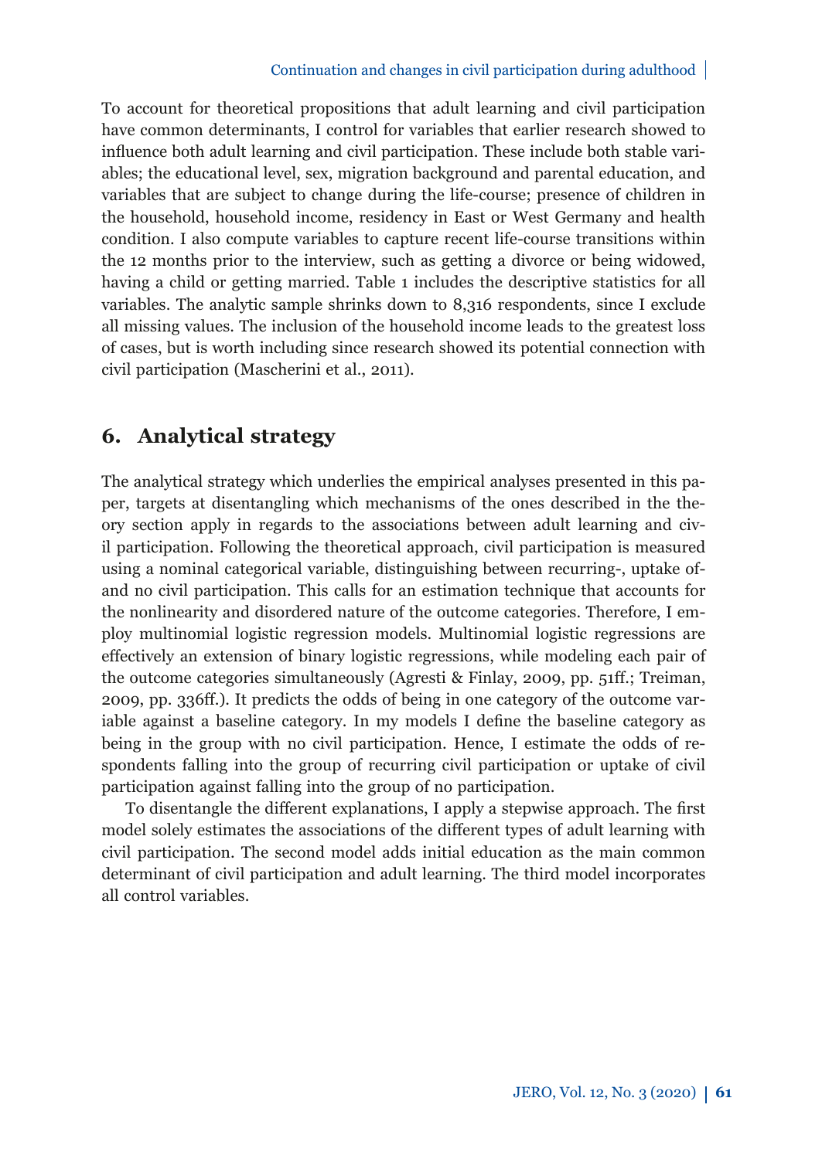#### Continuation and changes in civil participation during adulthood

To account for theoretical propositions that adult learning and civil participation have common determinants, I control for variables that earlier research showed to influence both adult learning and civil participation. These include both stable variables; the educational level, sex, migration background and parental education, and variables that are subject to change during the life-course; presence of children in the household, household income, residency in East or West Germany and health condition. I also compute variables to capture recent life-course transitions within the 12 months prior to the interview, such as getting a divorce or being widowed, having a child or getting married. Table 1 includes the descriptive statistics for all variables. The analytic sample shrinks down to 8,316 respondents, since I exclude all missing values. The inclusion of the household income leads to the greatest loss of cases, but is worth including since research showed its potential connection with civil participation (Mascherini et al., 2011).

## **6. Analytical strategy**

The analytical strategy which underlies the empirical analyses presented in this paper, targets at disentangling which mechanisms of the ones described in the theory section apply in regards to the associations between adult learning and civil participation. Following the theoretical approach, civil participation is measured using a nominal categorical variable, distinguishing between recurring-, uptake ofand no civil participation. This calls for an estimation technique that accounts for the nonlinearity and disordered nature of the outcome categories. Therefore, I employ multinomial logistic regression models. Multinomial logistic regressions are eff ectively an extension of binary logistic regressions, while modeling each pair of the outcome categories simultaneously (Agresti & Finlay, 2009, pp. 51ff.; Treiman, 2009, pp. 336ff .). It predicts the odds of being in one category of the outcome variable against a baseline category. In my models  $I$  define the baseline category as being in the group with no civil participation. Hence, I estimate the odds of respondents falling into the group of recurring civil participation or uptake of civil participation against falling into the group of no participation.

To disentangle the different explanations, I apply a stepwise approach. The first model solely estimates the associations of the different types of adult learning with civil participation. The second model adds initial education as the main common determinant of civil participation and adult learning. The third model incorporates all control variables.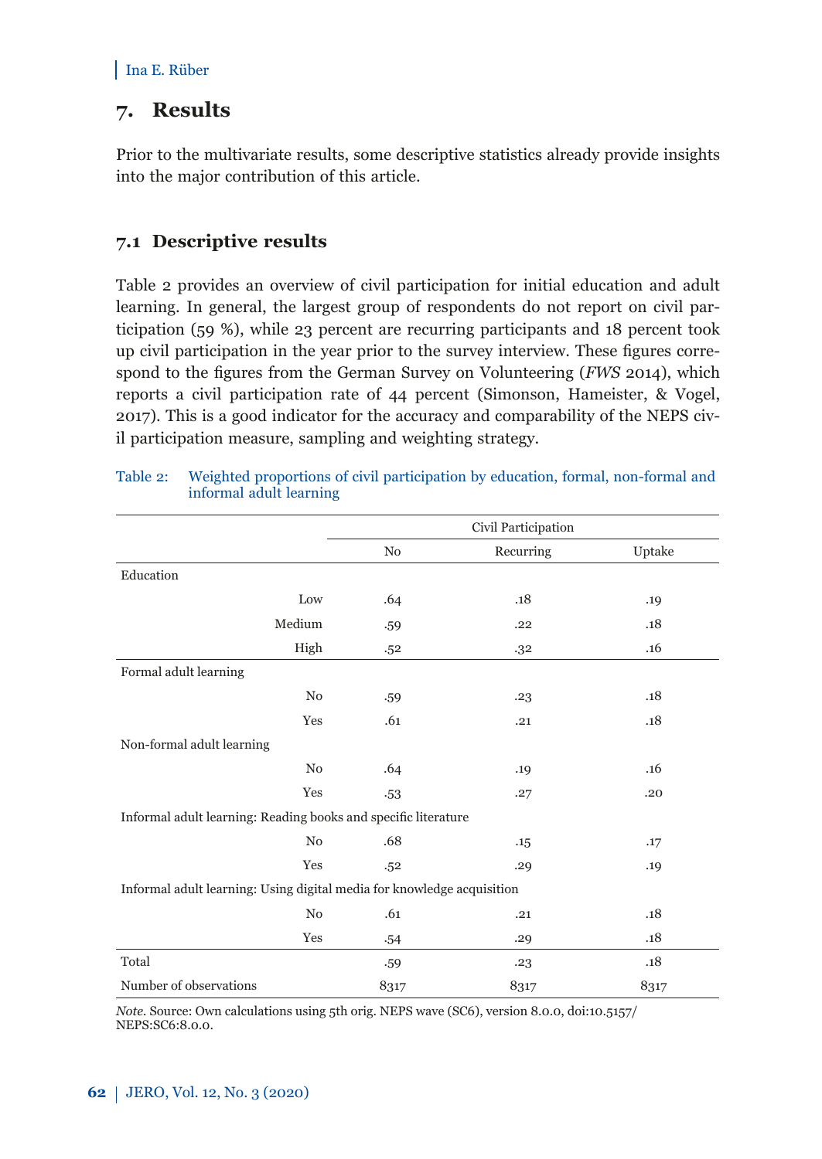## **7. Results**

Prior to the multivariate results, some descriptive statistics already provide insights into the major contribution of this article.

#### **7.1 Descriptive results**

Table 2 provides an overview of civil participation for initial education and adult learning. In general, the largest group of respondents do not report on civil participation (59 %), while 23 percent are recurring participants and 18 percent took up civil participation in the year prior to the survey interview. These figures correspond to the figures from the German Survey on Volunteering (*FWS* 2014), which reports a civil participation rate of 44 percent (Simonson, Hameister, & Vogel, 2017). This is a good indicator for the accuracy and comparability of the NEPS civil participation measure, sampling and weighting strategy.

|                                                                        | Civil Participation |           |        |  |
|------------------------------------------------------------------------|---------------------|-----------|--------|--|
|                                                                        | No                  | Recurring | Uptake |  |
| Education                                                              |                     |           |        |  |
| Low                                                                    | .64                 | .18       | .19    |  |
| Medium                                                                 | .59                 | .22       | .18    |  |
| High                                                                   | .52                 | .32       | .16    |  |
| Formal adult learning                                                  |                     |           |        |  |
| N <sub>0</sub>                                                         | .59                 | .23       | .18    |  |
| Yes                                                                    | .61                 | .21       | .18    |  |
| Non-formal adult learning                                              |                     |           |        |  |
| N <sub>0</sub>                                                         | .64                 | .19       | .16    |  |
| Yes                                                                    | .53                 | .27       | .20    |  |
| Informal adult learning: Reading books and specific literature         |                     |           |        |  |
| No                                                                     | .68                 | .15       | .17    |  |
| Yes                                                                    | .52                 | .29       | .19    |  |
| Informal adult learning: Using digital media for knowledge acquisition |                     |           |        |  |
| N <sub>0</sub>                                                         | .61                 | .21       | .18    |  |
| Yes                                                                    | .54                 | .29       | .18    |  |
| Total                                                                  | .59                 | .23       | .18    |  |
| Number of observations                                                 | 8317                | 8317      | 8317   |  |

| Table 2: | Weighted proportions of civil participation by education, formal, non-formal and |
|----------|----------------------------------------------------------------------------------|
|          | informal adult learning                                                          |

*Note.* Source: Own calculations using 5th orig. NEPS wave (SC6), version 8.0.0, doi:10.5157/ NEPS:SC6:8.0.0.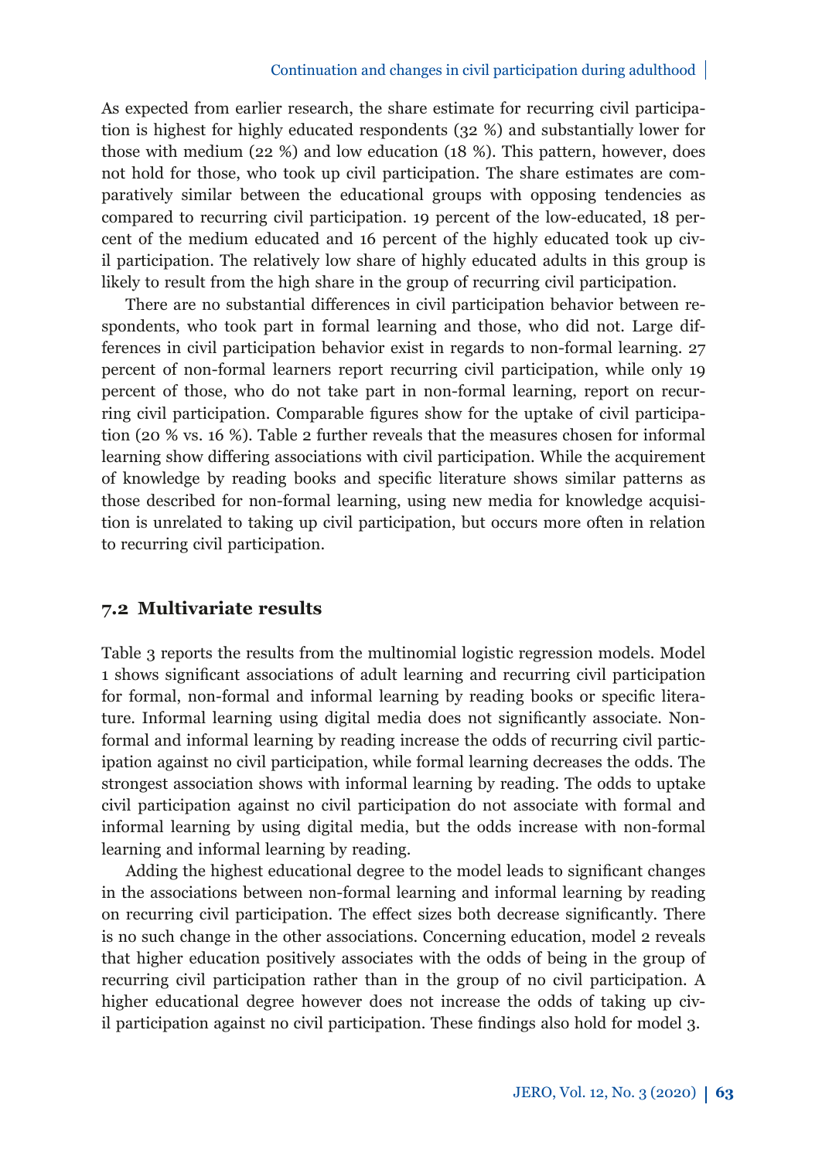As expected from earlier research, the share estimate for recurring civil participation is highest for highly educated respondents (32 %) and substantially lower for those with medium (22 %) and low education (18 %). This pattern, however, does not hold for those, who took up civil participation. The share estimates are comparatively similar between the educational groups with opposing tendencies as compared to recurring civil participation. 19 percent of the low-educated, 18 percent of the medium educated and 16 percent of the highly educated took up civil participation. The relatively low share of highly educated adults in this group is likely to result from the high share in the group of recurring civil participation.

There are no substantial differences in civil participation behavior between respondents, who took part in formal learning and those, who did not. Large differences in civil participation behavior exist in regards to non-formal learning. 27 percent of non-formal learners report recurring civil participation, while only 19 percent of those, who do not take part in non-formal learning, report on recurring civil participation. Comparable figures show for the uptake of civil participation (20 % vs. 16 %). Table 2 further reveals that the measures chosen for informal learning show differing associations with civil participation. While the acquirement of knowledge by reading books and specific literature shows similar patterns as those described for non-formal learning, using new media for knowledge acquisition is unrelated to taking up civil participation, but occurs more often in relation to recurring civil participation.

#### **7.2 Multivariate results**

Table 3 reports the results from the multinomial logistic regression models. Model 1 shows significant associations of adult learning and recurring civil participation for formal, non-formal and informal learning by reading books or specific literature. Informal learning using digital media does not significantly associate. Nonformal and informal learning by reading increase the odds of recurring civil participation against no civil participation, while formal learning decreases the odds. The strongest association shows with informal learning by reading. The odds to uptake civil participation against no civil participation do not associate with formal and informal learning by using digital media, but the odds increase with non-formal learning and informal learning by reading.

Adding the highest educational degree to the model leads to significant changes in the associations between non-formal learning and informal learning by reading on recurring civil participation. The effect sizes both decrease significantly. There is no such change in the other associations. Concerning education, model 2 reveals that higher education positively associates with the odds of being in the group of recurring civil participation rather than in the group of no civil participation. A higher educational degree however does not increase the odds of taking up civil participation against no civil participation. These findings also hold for model 3.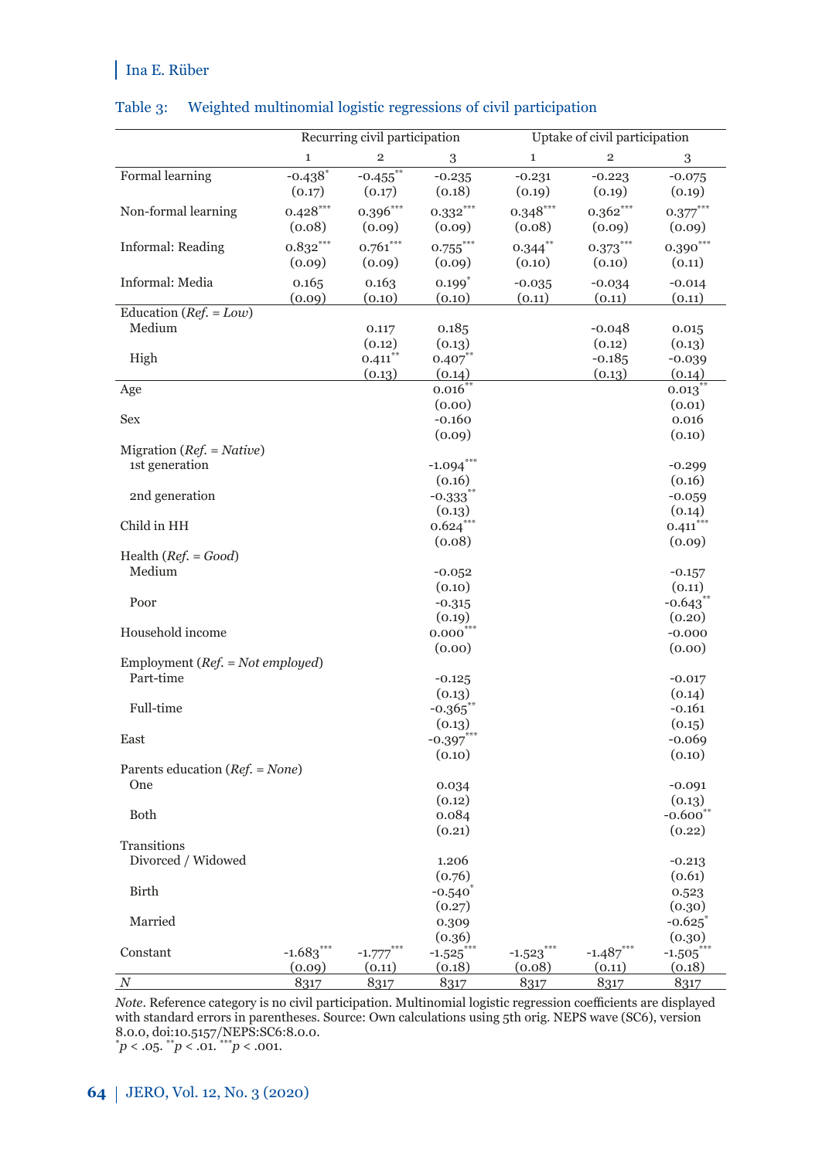#### Table 3: Weighted multinomial logistic regressions of civil participation

|                                      |                                 | Recurring civil participation   |                       | Uptake of civil participation     |                         |                       |  |
|--------------------------------------|---------------------------------|---------------------------------|-----------------------|-----------------------------------|-------------------------|-----------------------|--|
|                                      | $\mathbf{1}$                    | $\overline{2}$                  | 3                     | $\mathbf{1}$                      | $\overline{\mathbf{c}}$ | 3                     |  |
| Formal learning                      | $-0.438$ <sup>*</sup><br>(0.17) | $-0.455$ <sup>*</sup><br>(0.17) | $-0.235$<br>(0.18)    | $-0.231$<br>(0.19)                | $-0.223$<br>(0.19)      | $-0.075$<br>(0.19)    |  |
| Non-formal learning                  | $0.428***$<br>(0.08)            | $0.396***$<br>(0.09)            | $0.332***$<br>(0.09)  | $0.348***$<br>(0.08)              | $0.362***$<br>(0.09)    | $0.377***$<br>(0.09)  |  |
| Informal: Reading                    | $0.832***$<br>(0.09)            | $0.761***$<br>(0.09)            | $0.755$ ***<br>(0.09) | $0.344$ **<br>(0.10)              | $0.373***$<br>(0.10)    | $0.390***$<br>(0.11)  |  |
| Informal: Media                      | 0.165                           | 0.163                           | $0.199*$              | $-0.035$                          | $-0.034$                | $-0.014$              |  |
| Education ( $Ref. = Low$ )           | (0.09)                          | (0.10)                          | (0.10)                | (0.11)                            | (0.11)                  | (0.11)                |  |
| Medium                               |                                 | 0.117                           | 0.185                 |                                   | $-0.048$                | 0.015                 |  |
|                                      |                                 | (0.12)                          | (0.13)                |                                   | (0.12)                  | (0.13)                |  |
| High                                 |                                 | 0.411                           | 0.407                 |                                   | $-0.185$                | $-0.039$              |  |
|                                      |                                 | (0.13)                          | (0.14)                |                                   | (0.13)                  | (0.14)                |  |
| Age                                  |                                 |                                 | 0.016                 |                                   |                         | 0.013                 |  |
|                                      |                                 |                                 | (0.00)                |                                   |                         | (0.01)                |  |
| Sex                                  |                                 |                                 | $-0.160$              |                                   |                         | 0.016                 |  |
|                                      |                                 |                                 | (0.09)                |                                   |                         | (0.10)                |  |
| Migration ( $Ref. = Native$ )        |                                 |                                 |                       |                                   |                         |                       |  |
| 1st generation                       |                                 |                                 | $-1.094***$           |                                   |                         | $-0.299$              |  |
|                                      |                                 |                                 | (0.16)                |                                   |                         | (0.16)                |  |
| 2nd generation                       |                                 |                                 | $-0.333$              |                                   |                         | $-0.059$              |  |
|                                      |                                 |                                 | (0.13)                |                                   |                         | (0.14)                |  |
| Child in HH                          |                                 |                                 | $0.624^{*}$           |                                   |                         | $0.411$ <sup>*</sup>  |  |
|                                      |                                 |                                 | (0.08)                |                                   |                         | (0.09)                |  |
| Health $(Ref. = Good)$               |                                 |                                 |                       |                                   |                         |                       |  |
| Medium                               |                                 |                                 | $-0.052$              |                                   |                         | $-0.157$              |  |
|                                      |                                 |                                 | (0.10)                |                                   |                         | (0.11)                |  |
| Poor                                 |                                 |                                 | $-0.315$              |                                   |                         | $-0.643$ <sup>*</sup> |  |
|                                      |                                 |                                 | (0.19)                |                                   |                         | (0.20)                |  |
| Household income                     |                                 |                                 | $0.000^{*}$           |                                   |                         | $-0.000$              |  |
| Employment ( $Ref. = Not employed$ ) |                                 |                                 | (0.00)                |                                   |                         | (0.00)                |  |
| Part-time                            |                                 |                                 | $-0.125$              |                                   |                         | $-0.017$              |  |
|                                      |                                 |                                 | (0.13)                |                                   |                         | (0.14)                |  |
| Full-time                            |                                 |                                 | $-0.365$ <sup>*</sup> |                                   |                         | $-0.161$              |  |
|                                      |                                 |                                 | (0.13)                |                                   |                         | (0.15)                |  |
| East                                 |                                 |                                 | $-0.397***$           |                                   |                         | $-0.069$              |  |
|                                      |                                 |                                 | (0.10)                |                                   |                         | (0.10)                |  |
| Parents education $(Ref. = None)$    |                                 |                                 |                       |                                   |                         |                       |  |
| One                                  |                                 |                                 | 0.034                 |                                   |                         | $-0.091$              |  |
|                                      |                                 |                                 | (0.12)                |                                   |                         | (0.13)                |  |
| <b>Both</b>                          |                                 |                                 | 0.084                 |                                   |                         | $-0.600$              |  |
|                                      |                                 |                                 | (0.21)                |                                   |                         | (0.22)                |  |
| Transitions                          |                                 |                                 |                       |                                   |                         |                       |  |
| Divorced / Widowed                   |                                 |                                 | 1.206                 |                                   |                         | $-0.213$              |  |
|                                      |                                 |                                 | (0.76)                |                                   |                         | (0.61)                |  |
| Birth                                |                                 |                                 | $-0.540$              |                                   |                         | 0.523                 |  |
|                                      |                                 |                                 | (0.27)                |                                   |                         | (0.30)                |  |
| Married                              |                                 |                                 | 0.309                 |                                   |                         | $-0.625$              |  |
|                                      |                                 |                                 | (0.36)                |                                   |                         | (0.30)                |  |
| Constant                             | $-1.683***$                     | $-1.777$                        | $-1.525$              | $-1.523$ $\overline{\phantom{1}}$ | $-1.487***$             | $-1.505$              |  |
|                                      | (0.09)                          | (0.11)                          | (0.18)                | (0.08)                            | (0.11)                  | (0.18)                |  |
| $\cal N$                             | 8317                            | 8317                            | 8317                  | 8317                              | 8317                    | 8317                  |  |

*Note*. Reference category is no civil participation. Multinomial logistic regression coefficients are displayed with standard errors in parentheses. Source: Own calculations using 5th orig. NEPS wave (SC6), version 8.0.0, doi:10.5157/NEPS:SC6:8.0.0.

 $*p < .05.$   $*p < .01.$   $*^{**}p < .001.$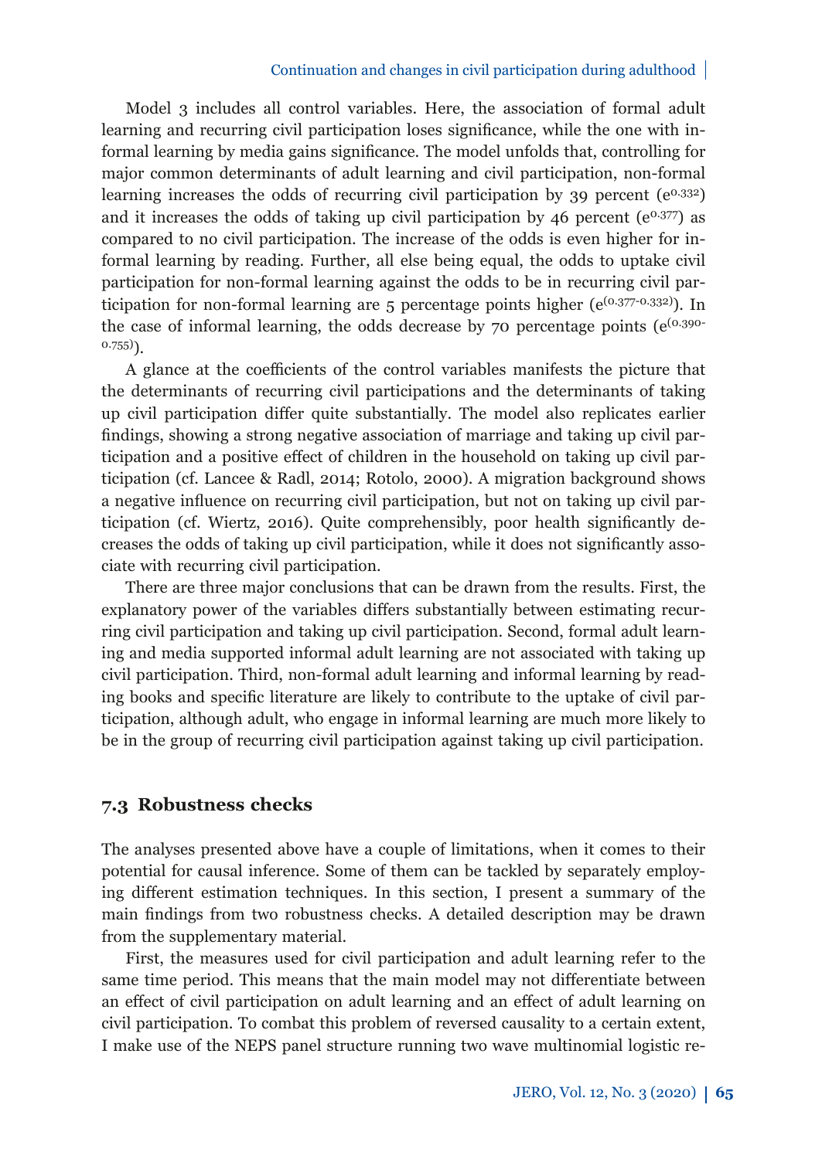#### Continuation and changes in civil participation during adulthood

Model 3 includes all control variables. Here, the association of formal adult learning and recurring civil participation loses significance, while the one with informal learning by media gains significance. The model unfolds that, controlling for major common determinants of adult learning and civil participation, non-formal learning increases the odds of recurring civil participation by 39 percent  $(e^{0.332})$ and it increases the odds of taking up civil participation by 46 percent  $(e^{0.377})$  as compared to no civil participation. The increase of the odds is even higher for informal learning by reading. Further, all else being equal, the odds to uptake civil participation for non-formal learning against the odds to be in recurring civil participation for non-formal learning are 5 percentage points higher ( $e^{(0.377 \cdot 0.332)}$ ). In the case of informal learning, the odds decrease by 70 percentage points  $(e^{(0.390 - e^{0.390})})$  $0.755)$ 

A glance at the coefficients of the control variables manifests the picture that the determinants of recurring civil participations and the determinants of taking up civil participation differ quite substantially. The model also replicates earlier findings, showing a strong negative association of marriage and taking up civil participation and a positive effect of children in the household on taking up civil participation (cf. Lancee & Radl, 2014; Rotolo, 2000). A migration background shows a negative influence on recurring civil participation, but not on taking up civil participation (cf. Wiertz, 2016). Quite comprehensibly, poor health significantly decreases the odds of taking up civil participation, while it does not significantly associate with recurring civil participation.

There are three major conclusions that can be drawn from the results. First, the explanatory power of the variables differs substantially between estimating recurring civil participation and taking up civil participation. Second, formal adult learning and media supported informal adult learning are not associated with taking up civil participation. Third, non-formal adult learning and informal learning by reading books and specific literature are likely to contribute to the uptake of civil participation, although adult, who engage in informal learning are much more likely to be in the group of recurring civil participation against taking up civil participation.

#### **7.3 Robustness checks**

The analyses presented above have a couple of limitations, when it comes to their potential for causal inference. Some of them can be tackled by separately employing different estimation techniques. In this section, I present a summary of the main findings from two robustness checks. A detailed description may be drawn from the supplementary material.

First, the measures used for civil participation and adult learning refer to the same time period. This means that the main model may not differentiate between an effect of civil participation on adult learning and an effect of adult learning on civil participation. To combat this problem of reversed causality to a certain extent, I make use of the NEPS panel structure running two wave multinomial logistic re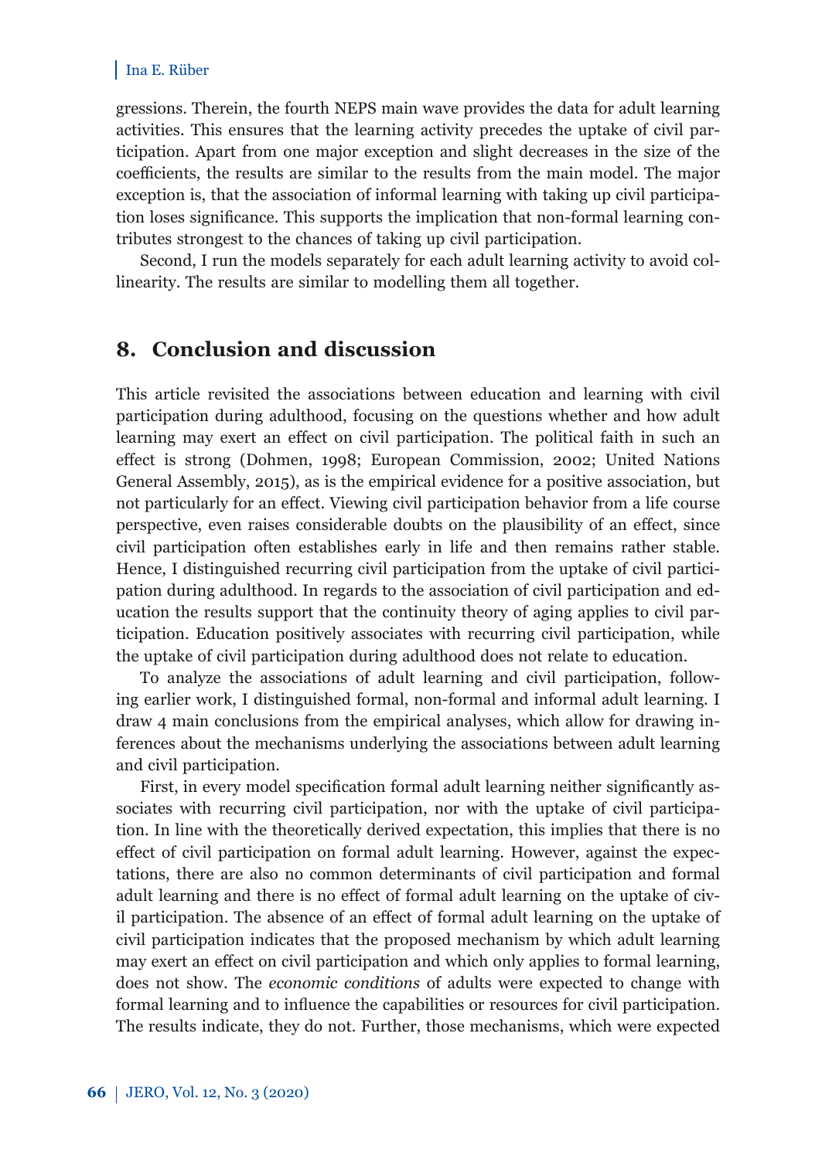gressions. Therein, the fourth NEPS main wave provides the data for adult learning activities. This ensures that the learning activity precedes the uptake of civil participation. Apart from one major exception and slight decreases in the size of the coefficients, the results are similar to the results from the main model. The major exception is, that the association of informal learning with taking up civil participation loses significance. This supports the implication that non-formal learning contributes strongest to the chances of taking up civil participation.

Second, I run the models separately for each adult learning activity to avoid collinearity. The results are similar to modelling them all together.

### **8. Conclusion and discussion**

This article revisited the associations between education and learning with civil participation during adulthood, focusing on the questions whether and how adult learning may exert an effect on civil participation. The political faith in such an effect is strong (Dohmen, 1998; European Commission, 2002; United Nations General Assembly, 2015), as is the empirical evidence for a positive association, but not particularly for an effect. Viewing civil participation behavior from a life course perspective, even raises considerable doubts on the plausibility of an effect, since civil participation often establishes early in life and then remains rather stable. Hence, I distinguished recurring civil participation from the uptake of civil participation during adulthood. In regards to the association of civil participation and education the results support that the continuity theory of aging applies to civil participation. Education positively associates with recurring civil participation, while the uptake of civil participation during adulthood does not relate to education.

To analyze the associations of adult learning and civil participation, following earlier work, I distinguished formal, non-formal and informal adult learning. I draw 4 main conclusions from the empirical analyses, which allow for drawing inferences about the mechanisms underlying the associations between adult learning and civil participation.

First, in every model specification formal adult learning neither significantly associates with recurring civil participation, nor with the uptake of civil participation. In line with the theoretically derived expectation, this implies that there is no effect of civil participation on formal adult learning. However, against the expectations, there are also no common determinants of civil participation and formal adult learning and there is no effect of formal adult learning on the uptake of civil participation. The absence of an effect of formal adult learning on the uptake of civil participation indicates that the proposed mechanism by which adult learning may exert an effect on civil participation and which only applies to formal learning, does not show. The *economic conditions* of adults were expected to change with formal learning and to influence the capabilities or resources for civil participation. The results indicate, they do not. Further, those mechanisms, which were expected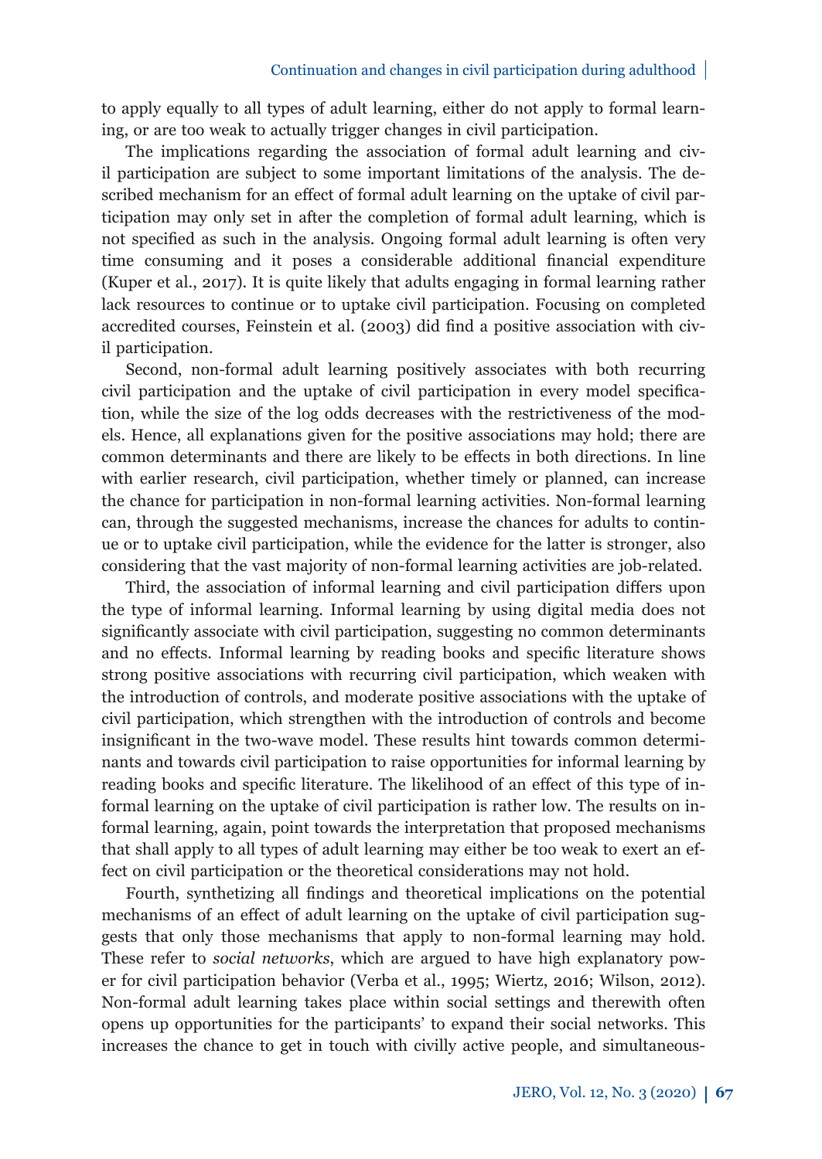to apply equally to all types of adult learning, either do not apply to formal learning, or are too weak to actually trigger changes in civil participation.

The implications regarding the association of formal adult learning and civil participation are subject to some important limitations of the analysis. The described mechanism for an effect of formal adult learning on the uptake of civil participation may only set in after the completion of formal adult learning, which is not specified as such in the analysis. Ongoing formal adult learning is often very time consuming and it poses a considerable additional financial expenditure (Kuper et al., 2017). It is quite likely that adults engaging in formal learning rather lack resources to continue or to uptake civil participation. Focusing on completed accredited courses, Feinstein et al.  $(2003)$  did find a positive association with civil participation.

Second, non-formal adult learning positively associates with both recurring civil participation and the uptake of civil participation in every model specification, while the size of the log odds decreases with the restrictiveness of the models. Hence, all explanations given for the positive associations may hold; there are common determinants and there are likely to be effects in both directions. In line with earlier research, civil participation, whether timely or planned, can increase the chance for participation in non-formal learning activities. Non-formal learning can, through the suggested mechanisms, increase the chances for adults to continue or to uptake civil participation, while the evidence for the latter is stronger, also considering that the vast majority of non-formal learning activities are job-related.

Third, the association of informal learning and civil participation differs upon the type of informal learning. Informal learning by using digital media does not significantly associate with civil participation, suggesting no common determinants and no effects. Informal learning by reading books and specific literature shows strong positive associations with recurring civil participation, which weaken with the introduction of controls, and moderate positive associations with the uptake of civil participation, which strengthen with the introduction of controls and become insignificant in the two-wave model. These results hint towards common determinants and towards civil participation to raise opportunities for informal learning by reading books and specific literature. The likelihood of an effect of this type of informal learning on the uptake of civil participation is rather low. The results on informal learning, again, point towards the interpretation that proposed mechanisms that shall apply to all types of adult learning may either be too weak to exert an effect on civil participation or the theoretical considerations may not hold.

Fourth, synthetizing all findings and theoretical implications on the potential mechanisms of an effect of adult learning on the uptake of civil participation suggests that only those mechanisms that apply to non-formal learning may hold. These refer to *social networks*, which are argued to have high explanatory power for civil participation behavior (Verba et al., 1995; Wiertz, 2016; Wilson, 2012). Non-formal adult learning takes place within social settings and therewith often opens up opportunities for the participants' to expand their social networks. This increases the chance to get in touch with civilly active people, and simultaneous-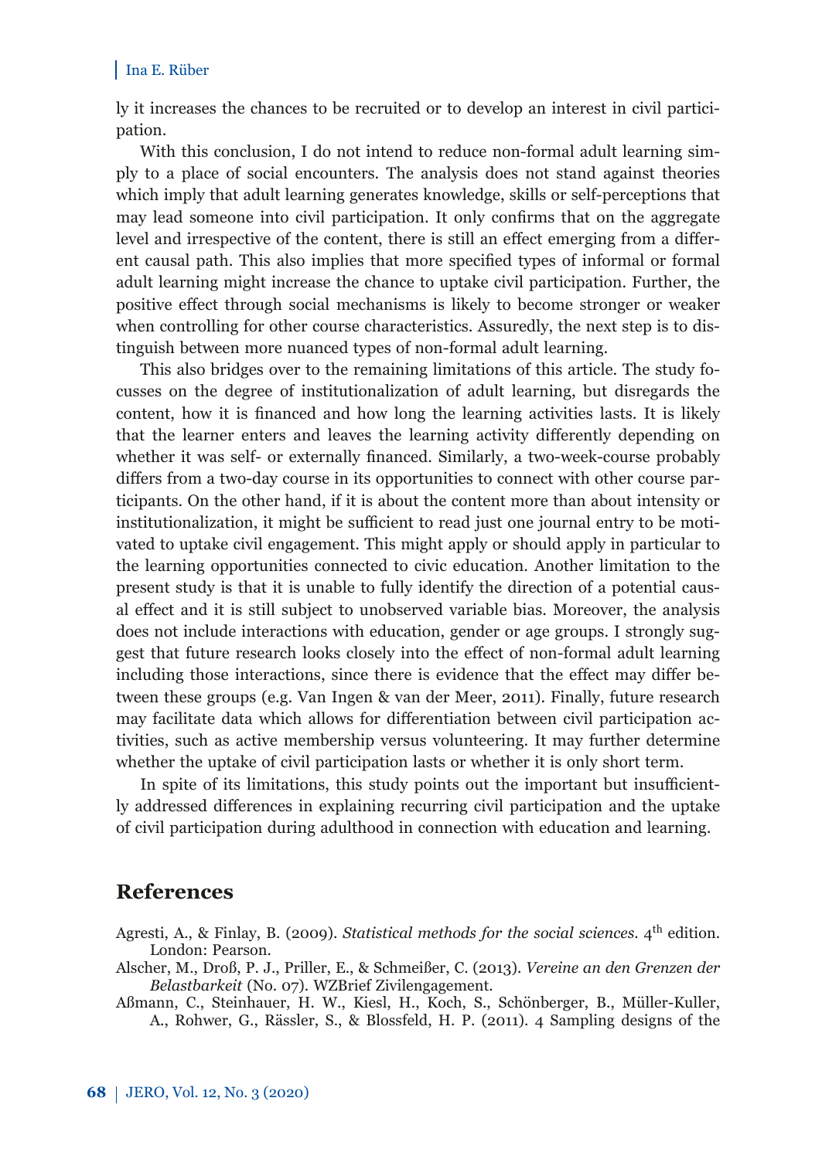ly it increases the chances to be recruited or to develop an interest in civil participation.

With this conclusion, I do not intend to reduce non-formal adult learning simply to a place of social encounters. The analysis does not stand against theories which imply that adult learning generates knowledge, skills or self-perceptions that may lead someone into civil participation. It only confirms that on the aggregate level and irrespective of the content, there is still an effect emerging from a different causal path. This also implies that more specified types of informal or formal adult learning might increase the chance to uptake civil participation. Further, the positive effect through social mechanisms is likely to become stronger or weaker when controlling for other course characteristics. Assuredly, the next step is to distinguish between more nuanced types of non-formal adult learning.

This also bridges over to the remaining limitations of this article. The study focusses on the degree of institutionalization of adult learning, but disregards the content, how it is financed and how long the learning activities lasts. It is likely that the learner enters and leaves the learning activity differently depending on whether it was self- or externally financed. Similarly, a two-week-course probably differs from a two-day course in its opportunities to connect with other course participants. On the other hand, if it is about the content more than about intensity or institutionalization, it might be sufficient to read just one journal entry to be motivated to uptake civil engagement. This might apply or should apply in particular to the learning opportunities connected to civic education. Another limitation to the present study is that it is unable to fully identify the direction of a potential causal effect and it is still subject to unobserved variable bias. Moreover, the analysis does not include interactions with education, gender or age groups. I strongly suggest that future research looks closely into the effect of non-formal adult learning including those interactions, since there is evidence that the effect may differ between these groups (e.g. Van Ingen & van der Meer, 2011). Finally, future research may facilitate data which allows for differentiation between civil participation activities, such as active membership versus volunteering. It may further determine whether the uptake of civil participation lasts or whether it is only short term.

In spite of its limitations, this study points out the important but insufficiently addressed differences in explaining recurring civil participation and the uptake of civil participation during adulthood in connection with education and learning.

## **References**

- Agresti, A., & Finlay, B. (2009). *Statistical methods for the social sciences*. 4<sup>th</sup> edition. London: Pearson.
- Alscher, M., Droß, P. J., Priller, E., & Schmeißer, C. (2013). *Vereine an den Grenzen der Belastbarkeit* (No. 07). WZBrief Zivilengagement.
- Aßmann, C., Steinhauer, H. W., Kiesl, H., Koch, S., Schönberger, B., Müller-Kuller, A., Rohwer, G., Rässler, S., & Blossfeld, H. P. (2011). 4 Sampling designs of the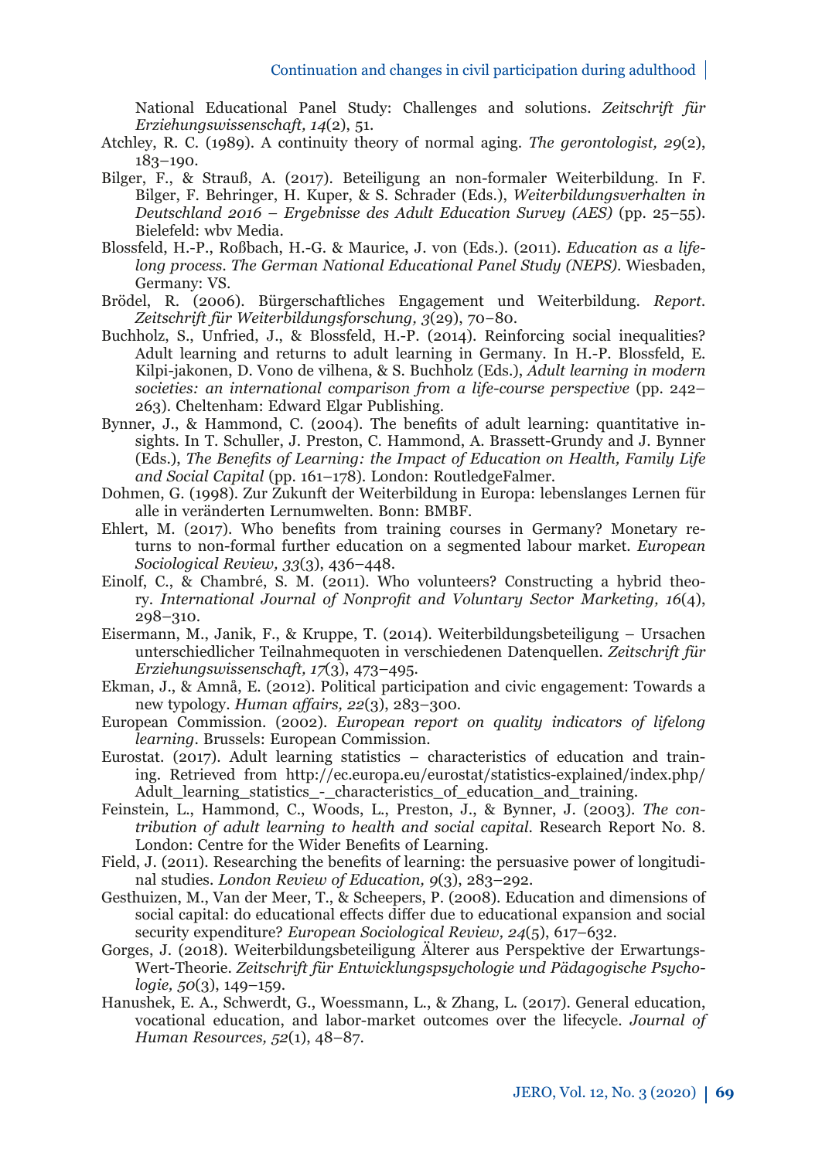National Educational Panel Study: Challenges and solutions. *Zeitschrift für Erziehungswissenschaft, 14*(2), 51.

- Atchley, R. C. (1989). A continuity theory of normal aging. *The gerontologist, 29*(2), 183–190.
- Bilger, F., & Strauß, A. (2017). Beteiligung an non-formaler Weiterbildung. In F. Bilger, F. Behringer, H. Kuper, & S. Schrader (Eds.), *Weiterbildungsverhalten in Deutschland 2016 – Ergebnisse des Adult Education Survey (AES)* (pp. 25–55). Bielefeld: wbv Media.
- Blossfeld , H.-P., Roßbach, H.-G. & Maurice, J. von (Eds.). (2011). *Education as a lifelong process. The German National Educational Panel Study (NEPS)*. Wiesbaden, Germany: VS.
- Brödel, R. (2006). Bürgerschaftliches Engagement und Weiterbildung. *Report. Zeitschrift für Weiterbildungsforschung, 3*(29), 70−80.
- Buchholz, S., Unfried, J., & Blossfeld, H.-P. (2014). Reinforcing social inequalities? Adult learning and returns to adult learning in Germany. In H.-P. Blossfeld, E. Kilpi-jakonen, D. Vono de vilhena, & S. Buchholz (Eds.), *Adult learning in modern societies: an international comparison from a life-course perspective* (pp. 242– 263). Cheltenham: Edward Elgar Publishing.
- Bynner, J., & Hammond, C. (2004). The benefits of adult learning: quantitative insights. In T. Schuller, J. Preston, C. Hammond, A. Brassett-Grundy and J. Bynner (Eds.), *The Benefits of Learning: the Impact of Education on Health, Family Life and Social Capital* (pp. 161–178)*.* London: RoutledgeFalmer.
- Dohmen, G. (1998). Zur Zukunft der Weiterbildung in Europa: lebenslanges Lernen für alle in veränderten Lernumwelten. Bonn: BMBF.
- Ehlert, M. (2017). Who benefits from training courses in Germany? Monetary returns to non-formal further education on a segmented labour market. *European Sociological Review, 33*(3), 436–448.
- Einolf, C., & Chambré, S. M. (2011). Who volunteers? Constructing a hybrid theory. *International Journal of Nonprofi t and Voluntary Sector Marketing, 16*(4), 298–310.
- Eisermann, M., Janik, F., & Kruppe, T. (2014). Weiterbildungsbeteiligung Ursachen unterschiedlicher Teilnahmequoten in verschiedenen Datenquellen. *Zeitschrift für Erziehungswissenschaft, 17*(3), 473–495.
- Ekman, J., & Amnå, E. (2012). Political participation and civic engagement: Towards a new typology. *Human affairs*, 22(3), 283-300.
- European Commission. (2002). *European report on quality indicators of lifelong learning*. Brussels: European Commission.
- Eurostat. (2017). Adult learning statistics characteristics of education and training. Retrieved from http://ec.europa.eu/eurostat/statistics-explained/index.php/ Adult\_learning\_statistics\_-\_characteristics\_of\_education\_and\_training.
- Feinstein, L., Hammond, C., Woods, L., Preston, J., & Bynner, J. (2003). *The contribution of adult learning to health and social capital*. Research Report No. 8. London: Centre for the Wider Benefits of Learning.
- Field, J. (2011). Researching the benefits of learning: the persuasive power of longitudinal studies. *London Review of Education, 9*(3), 283–292.
- Gesthuizen, M., Van der Meer, T., & Scheepers, P. (2008). Education and dimensions of social capital: do educational effects differ due to educational expansion and social security expenditure? *European Sociological Review, 24*(5), 617–632.
- Gorges, J. (2018). Weiterbildungsbeteiligung Älterer aus Perspektive der Erwartungs-Wert-Theorie. *Zeitschrift für Entwicklungspsychologie und Pädagogische Psychologie, 50*(3), 149–159.
- Hanushek, E. A., Schwerdt, G., Woessmann, L., & Zhang, L. (2017). General education, vocational education, and labor-market outcomes over the lifecycle. *Journal of Human Resources, 52*(1), 48–87.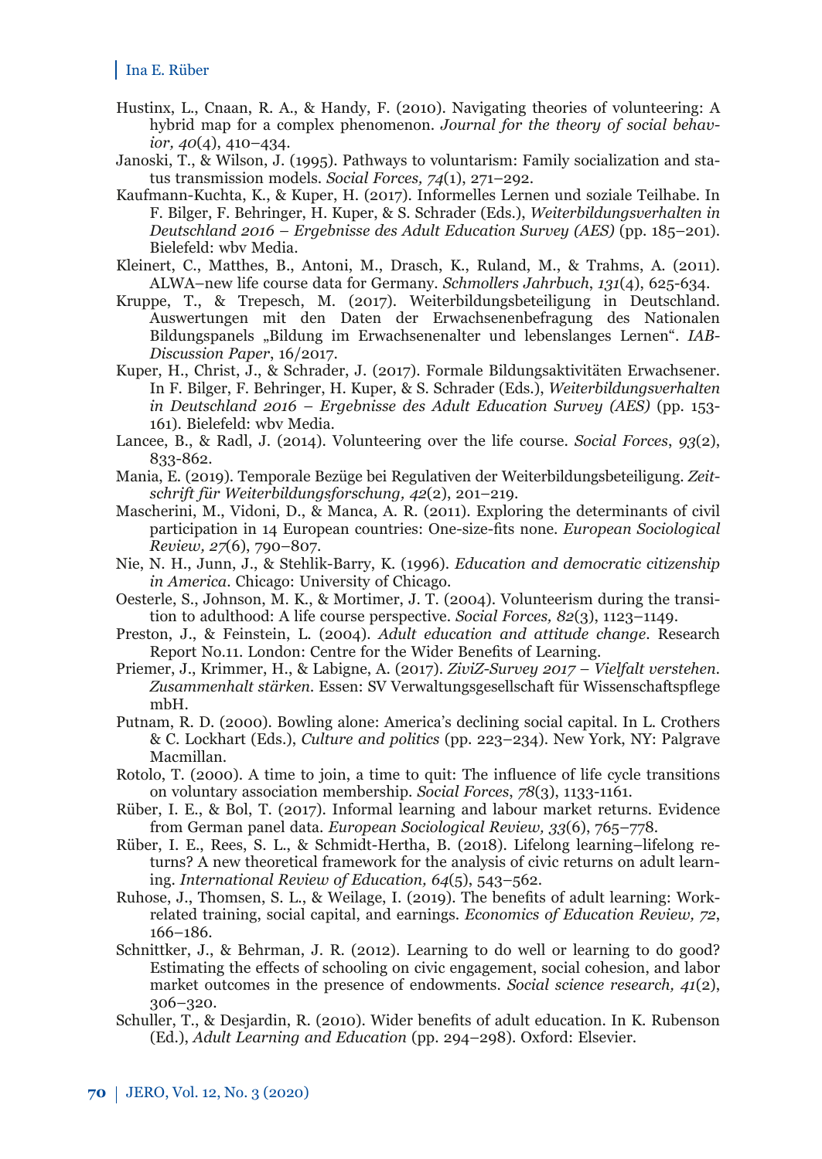- Hustinx, L., Cnaan, R. A., & Handy, F. (2010). Navigating theories of volunteering: A hybrid map for a complex phenomenon. *Journal for the theory of social behavior, 40*(4), 410–434.
- Janoski, T., & Wilson, J. (1995). Pathways to voluntarism: Family socialization and status transmission models. *Social Forces, 74*(1), 271–292.
- Kaufmann-Kuchta, K., & Kuper, H. (2017). Informelles Lernen und soziale Teilhabe. In F. Bilger, F. Behringer, H. Kuper, & S. Schrader (Eds.), *Weiterbildungsverhalten in Deutschland 2016 – Ergebnisse des Adult Education Survey (AES)* (pp. 185–201). Bielefeld: wbv Media.
- Kleinert, C., Matthes, B., Antoni, M., Drasch, K., Ruland, M., & Trahms, A. (2011). ALWA–new life course data for Germany. *Schmollers Jahrbuch*, *131*(4), 625-634.
- Kruppe, T., & Trepesch, M. (2017). Weiterbildungsbeteiligung in Deutschland. Auswertungen mit den Daten der Erwachsenenbefragung des Nationalen Bildungspanels "Bildung im Erwachsenenalter und lebenslanges Lernen". *IAB-Discussion Paper*, 16/2017.
- Kuper, H., Christ, J., & Schrader, J. (2017). Formale Bildungsaktivitäten Erwachsener. In F. Bilger, F. Behringer, H. Kuper, & S. Schrader (Eds.), *Weiterbildungsverhalten in Deutschland 2016 – Ergebnisse des Adult Education Survey (AES)* (pp. 153- 161). Bielefeld: wbv Media.
- Lancee, B., & Radl, J. (2014). Volunteering over the life course. *Social Forces*, *93*(2), 833-862.
- Mania, E. (2019). Temporale Bezüge bei Regulativen der Weiterbildungsbeteiligung. *Zeit schrift für Weiterbildungsforschung, 42*(2), 201–219.
- Mascherini, M., Vidoni, D., & Manca, A. R. (2011). Exploring the determinants of civil participation in 14 European countries: One-size-fits none. *European Sociological Review, 27*(6), 790–807.
- Nie, N. H., Junn, J., & Stehlik-Barry, K. (1996). *Education and democratic citizenship in America*. Chicago: University of Chicago.
- Oesterle, S., Johnson, M. K., & Mortimer, J. T. (2004). Volunteerism during the transition to adulthood: A life course perspective. *Social Forces, 82*(3), 1123–1149.
- Preston, J., & Feinstein, L. (2004). *Adult education and attitude change*. Research Report No.11. London: Centre for the Wider Benefits of Learning.
- Priemer, J., Krimmer, H., & Labigne, A. (2017). *ZiviZ-Survey 2017 Vielfalt verstehen.*  Zusammenhalt stärken. Essen: SV Verwaltungsgesellschaft für Wissenschaftspflege mbH.
- Putnam, R. D. (2000). Bowling alone: America's declining social capital. In L. Crothers & C. Lockhart (Eds.), *Culture and politics* (pp. 223–234). New York, NY: Palgrave Macmillan.
- Rotolo, T. (2000). A time to join, a time to quit: The influence of life cycle transitions on voluntary association membership. *Social Forces*, *78*(3), 1133-1161.
- Rüber, I. E., & Bol, T. (2017). Informal learning and labour market returns. Evidence from German panel data. *European Sociological Review, 33*(6), 765–778.
- Rüber, I. E., Rees, S. L., & Schmidt-Hertha, B. (2018). Lifelong learning–lifelong returns? A new theoretical framework for the analysis of civic returns on adult learning. *International Review of Education, 64*(5), 543–562.
- Ruhose, J., Thomsen, S. L., & Weilage, I. (2019). The benefits of adult learning: Workrelated training, social capital, and earnings. *Economics of Education Review, 72*, 166–186.
- Schnittker, J., & Behrman, J. R. (2012). Learning to do well or learning to do good? Estimating the effects of schooling on civic engagement, social cohesion, and labor market outcomes in the presence of endowments. *Social science research, 41*(2), 306–320.
- Schuller, T., & Desjardin, R. (2010). Wider benefits of adult education. In K. Rubenson (Ed.), *Adult Learning and Education* (pp. 294–298). Oxford: Elsevier.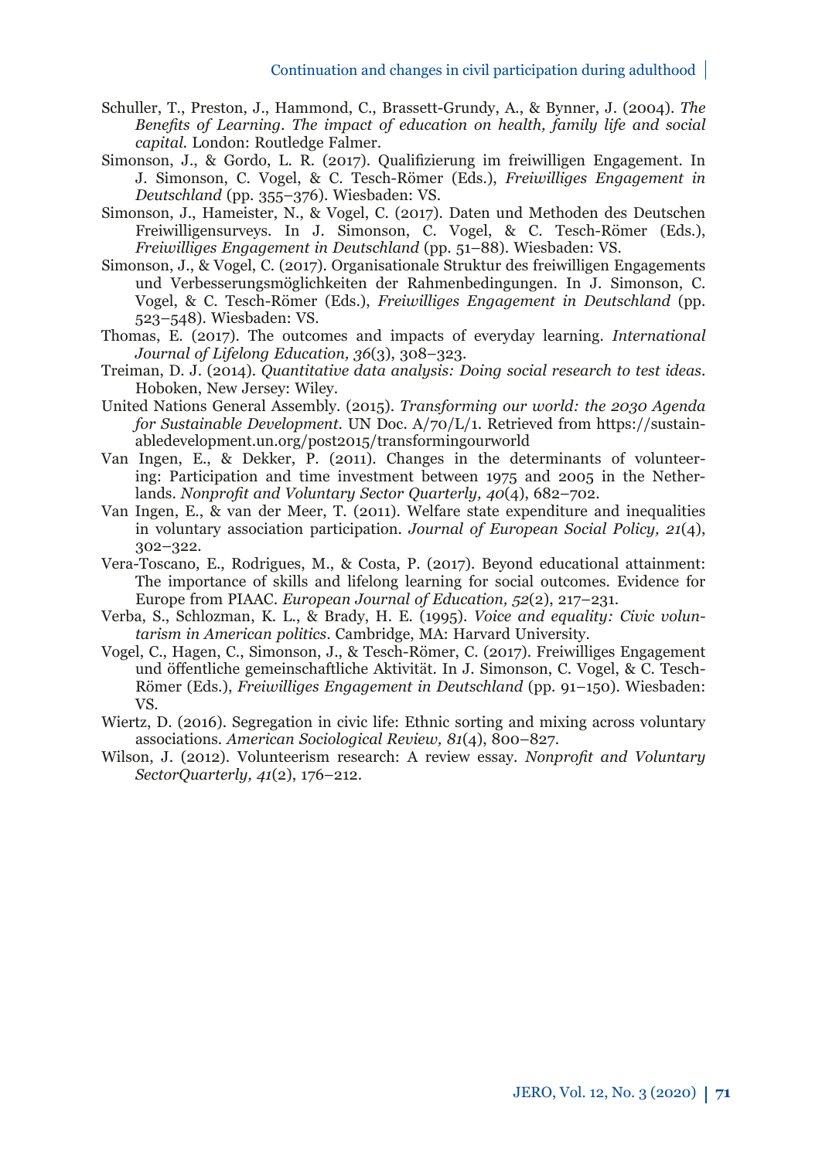- Schuller, T., Preston, J., Hammond, C., Brassett-Grundy, A., & Bynner, J. (2004). *The Benefi ts of Learning. The impact of education on health, family life and social capital.* London: Routledge Falmer.
- Simonson, J., & Gordo, L. R. (2017). Qualifizierung im freiwilligen Engagement. In J. Simonson, C. Vogel, & C. Tesch-Römer (Eds.), *Freiwilliges Engagement in Deutschland* (pp. 355–376). Wiesbaden: VS.
- Simonson, J., Hameister, N., & Vogel, C. (2017). Daten und Methoden des Deutschen Freiwilligensurveys. In J. Simonson, C. Vogel, & C. Tesch-Römer (Eds.), *Freiwilliges Engagement in Deutschland* (pp. 51–88). Wiesbaden: VS.
- Simonson, J., & Vogel, C. (2017). Organisationale Struktur des freiwilligen Engagements und Verbesserungsmöglichkeiten der Rahmenbedingungen. In J. Simonson, C. Vogel, & C. Tesch-Römer (Eds.), *Freiwilliges Engagement in Deutschland* (pp. 523–548). Wiesbaden: VS.
- Thomas, E. (2017). The outcomes and impacts of everyday learning. *International Journal of Lifelong Education, 36*(3), 308–323.
- Treiman, D. J. (2014). *Quantitative data analysis: Doing social research to test ideas*. Hoboken, New Jersey: Wiley.
- United Nations General Assembly. (2015). *Transforming our world: the 2030 Agenda for Sustainable Development*. UN Doc. A/70/L/1. Retrieved from https://sustainabledevelopment.un.org/post2015/transformingourworld
- Van Ingen, E., & Dekker, P. (2011). Changes in the determinants of volunteering: Participation and time investment between 1975 and 2005 in the Netherlands. *Nonprofi t and Voluntary Sector Quarterly, 40*(4), 682–702.
- Van Ingen, E., & van der Meer, T. (2011). Welfare state expenditure and inequalities in voluntary association participation. *Journal of European Social Policy, 21*(4), 302–322.
- Vera-Toscano, E., Rodrigues, M., & Costa, P. (2017). Beyond educational attainment: The importance of skills and lifelong learning for social outcomes. Evidence for Europe from PIAAC. *European Journal of Education, 52*(2), 217–231.
- Verba, S., Schlozman, K. L., & Brady, H. E. (1995). *Voice and equality: Civic voluntarism in American politics*. Cambridge, MA: Harvard University.
- Vogel, C., Hagen, C., Simonson, J., & Tesch-Römer, C. (2017). Freiwilliges Engagement und öffentliche gemeinschaftliche Aktivität. In J. Simonson, C. Vogel, & C. Tesch-Römer (Eds.), *Freiwilliges Engagement in Deutschland* (pp. 91–150). Wiesbaden: VS.
- Wiertz, D. (2016). Segregation in civic life: Ethnic sorting and mixing across voluntary associations. *American Sociological Review, 81*(4), 800–827.
- Wilson, J. (2012). Volunteerism research: A review essay. *Nonprofi t and Voluntary SectorQuarterly, 41*(2), 176–212.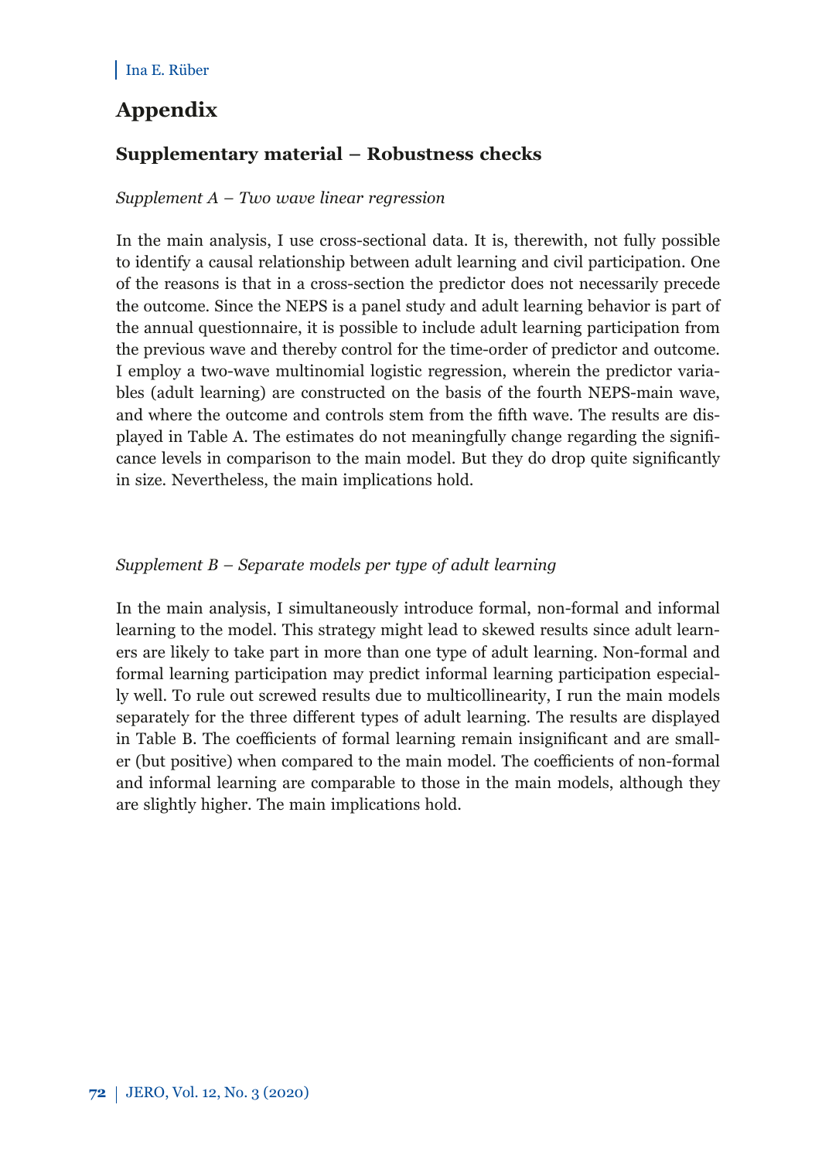## **Appendix**

## **Supplementary material – Robustness checks**

#### *Supplement A – Two wave linear regression*

In the main analysis, I use cross-sectional data. It is, therewith, not fully possible to identify a causal relationship between adult learning and civil participation. One of the reasons is that in a cross-section the predictor does not necessarily precede the outcome. Since the NEPS is a panel study and adult learning behavior is part of the annual questionnaire, it is possible to include adult learning participation from the previous wave and thereby control for the time-order of predictor and outcome. I employ a two-wave multinomial logistic regression, wherein the predictor variables (adult learning) are constructed on the basis of the fourth NEPS-main wave, and where the outcome and controls stem from the fifth wave. The results are displayed in Table A. The estimates do not meaningfully change regarding the significance levels in comparison to the main model. But they do drop quite significantly in size. Nevertheless, the main implications hold.

#### *Supplement B – Separate models per type of adult learning*

In the main analysis, I simultaneously introduce formal, non-formal and informal learning to the model. This strategy might lead to skewed results since adult learners are likely to take part in more than one type of adult learning. Non-formal and formal learning participation may predict informal learning participation especially well. To rule out screwed results due to multicollinearity, I run the main models separately for the three different types of adult learning. The results are displayed in Table B. The coefficients of formal learning remain insignificant and are smaller (but positive) when compared to the main model. The coefficients of non-formal and informal learning are comparable to those in the main models, although they are slightly higher. The main implications hold.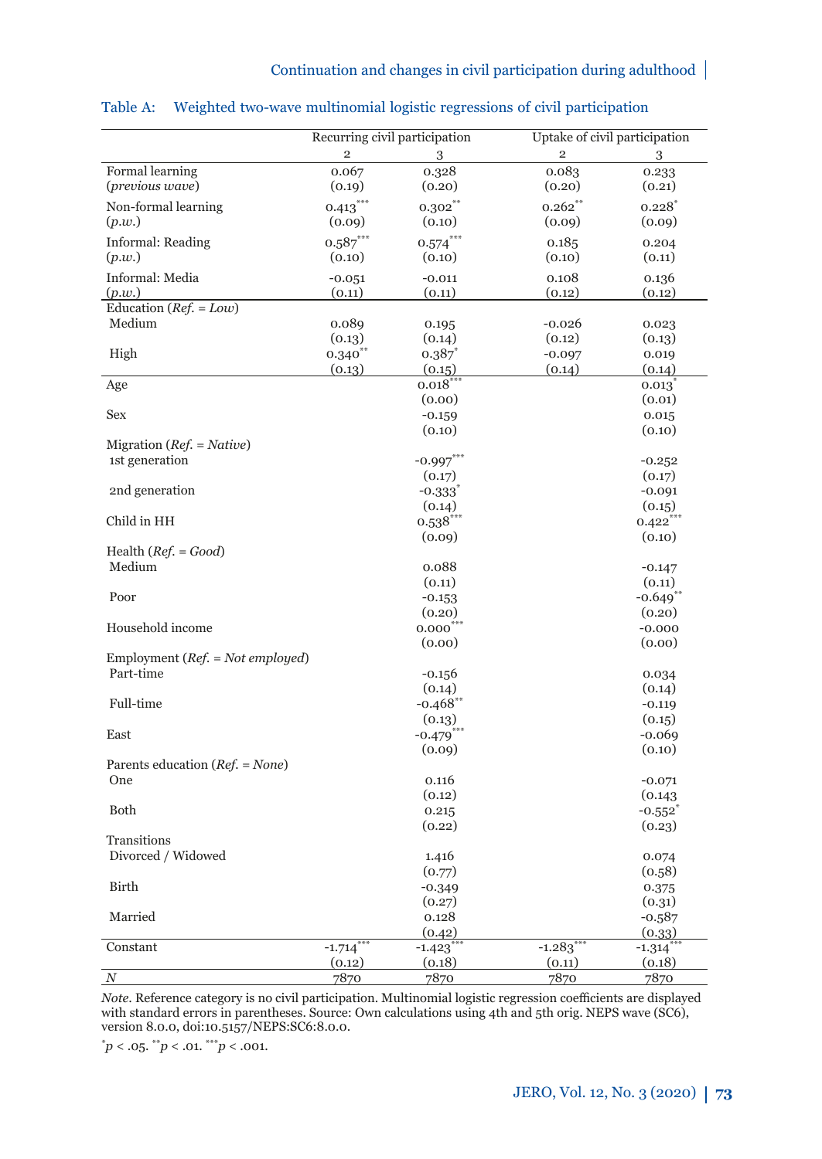|                                      | Recurring civil participation |                         | Uptake of civil participation |                        |  |  |
|--------------------------------------|-------------------------------|-------------------------|-------------------------------|------------------------|--|--|
|                                      | $\overline{2}$                | 3                       | $\mathfrak{D}$                | 3                      |  |  |
| Formal learning                      | 0.067                         | 0.328                   | 0.083                         | 0.233                  |  |  |
| (previous wave)                      | (0.19)                        | (0.20)                  | (0.20)                        | (0.21)                 |  |  |
| Non-formal learning                  | $0.413***$                    | $0.302***$              | $0.262$ **                    | $0.228^{*}$            |  |  |
| (p.w.)                               | (0.09)                        | (0.10)                  | (0.09)                        | (0.09)                 |  |  |
| <b>Informal: Reading</b>             | $0.587***$                    | $0.574***$              | 0.185                         | 0.204                  |  |  |
| (p.w.)                               | (0.10)                        | (0.10)                  | (0.10)                        | (0.11)                 |  |  |
| Informal: Media                      | $-0.051$                      | $-0.011$                | 0.108                         | 0.136                  |  |  |
| (p.w.)                               | (0.11)                        | (0.11)                  | (0.12)                        | (0.12)                 |  |  |
| Education ( $Ref. = Low$ )           |                               |                         |                               |                        |  |  |
| Medium                               | 0.089                         | 0.195                   | $-0.026$                      | 0.023                  |  |  |
|                                      | (0.13)                        | (0.14)                  | (0.12)                        | (0.13)                 |  |  |
| High                                 | $0.340^{**}$                  | 0.387                   | $-0.097$                      | 0.019                  |  |  |
|                                      | (0.13)                        | (0.15)                  | (0.14)                        | (0.14)                 |  |  |
| Age                                  |                               | $0.018^{*}$             |                               | $0.013^{''}$           |  |  |
|                                      |                               | (0.00)                  |                               | (0.01)                 |  |  |
| <b>Sex</b>                           |                               | $-0.159$                |                               | 0.015                  |  |  |
|                                      |                               | (0.10)                  |                               | (0.10)                 |  |  |
| Migration ( $Ref. = Native$ )        |                               |                         |                               |                        |  |  |
| 1st generation                       |                               | $-0.997***$             |                               | $-0.252$               |  |  |
|                                      |                               | (0.17)                  |                               | (0.17)                 |  |  |
| 2nd generation                       |                               | $-0.333$                |                               | $-0.091$               |  |  |
|                                      |                               | (0.14)                  |                               | (0.15)                 |  |  |
| Child in HH                          |                               | $0.538***$              |                               | $0.422$ **             |  |  |
|                                      |                               | (0.09)                  |                               | (0.10)                 |  |  |
| Health $(Ref. = Good)$               |                               |                         |                               |                        |  |  |
| Medium                               |                               | 0.088                   |                               | $-0.147$               |  |  |
|                                      |                               | (0.11)                  |                               | (0.11)                 |  |  |
| Poor                                 |                               | $-0.153$                |                               | $-0.649$ <sup>**</sup> |  |  |
|                                      |                               | (0.20)                  |                               | (0.20)                 |  |  |
| Household income                     |                               | $0.000^{***}$           |                               | $-0.000$               |  |  |
|                                      |                               | (0.00)                  |                               | (0.00)                 |  |  |
| Employment ( $Ref. = Not employed$ ) |                               |                         |                               |                        |  |  |
| Part-time                            |                               | $-0.156$                |                               | 0.034                  |  |  |
|                                      |                               | (0.14)                  |                               | (0.14)                 |  |  |
| Full-time                            |                               | $-0.468$ **             |                               | $-0.119$               |  |  |
|                                      |                               | (0.13)                  |                               | (0.15)                 |  |  |
| East                                 |                               | $-0.479$ <sup>***</sup> |                               | $-0.069$               |  |  |
|                                      |                               | (0.09)                  |                               | (0.10)                 |  |  |
| Parents education ( $Ref. = None$ )  |                               |                         |                               |                        |  |  |
| One                                  |                               | 0.116                   |                               | $-0.071$               |  |  |
|                                      |                               | (0.12)                  |                               | (0.143)                |  |  |
| Both                                 |                               | 0.215                   |                               | $-0.552$               |  |  |
|                                      |                               | (0.22)                  |                               | (0.23)                 |  |  |
| Transitions                          |                               |                         |                               |                        |  |  |
| Divorced / Widowed                   |                               | 1.416                   |                               | 0.074                  |  |  |
|                                      |                               | (0.77)                  |                               | (0.58)                 |  |  |
| Birth                                |                               | $-0.349$                |                               | 0.375                  |  |  |
|                                      |                               | (0.27)                  |                               | (0.31)                 |  |  |
| Married                              |                               | 0.128                   |                               | $-0.587$               |  |  |
|                                      |                               | (0.42)                  |                               | (0.33)                 |  |  |
| Constant                             | $-1.714$ <sup>**</sup>        | $-1.423$                | $-1.283$ <sup>**</sup>        | $-1.314$ <sup>*</sup>  |  |  |
|                                      | (0.12)                        | (0.18)                  | (0.11)                        | (0.18)                 |  |  |
| $\boldsymbol{N}$                     | 7870                          | 7870                    | 7870                          | 7870                   |  |  |

#### Table A: Weighted two-wave multinomial logistic regressions of civil participation

*Note*. Reference category is no civil participation. Multinomial logistic regression coefficients are displayed with standard errors in parentheses. Source: Own calculations using 4th and 5th orig. NEPS wave (SC6), version 8.0.0, doi:10.5157/NEPS:SC6:8.0.0.

 $p < .05$ .  $\frac{m}{p} < .01$ .  $\frac{m}{p} < .001$ .